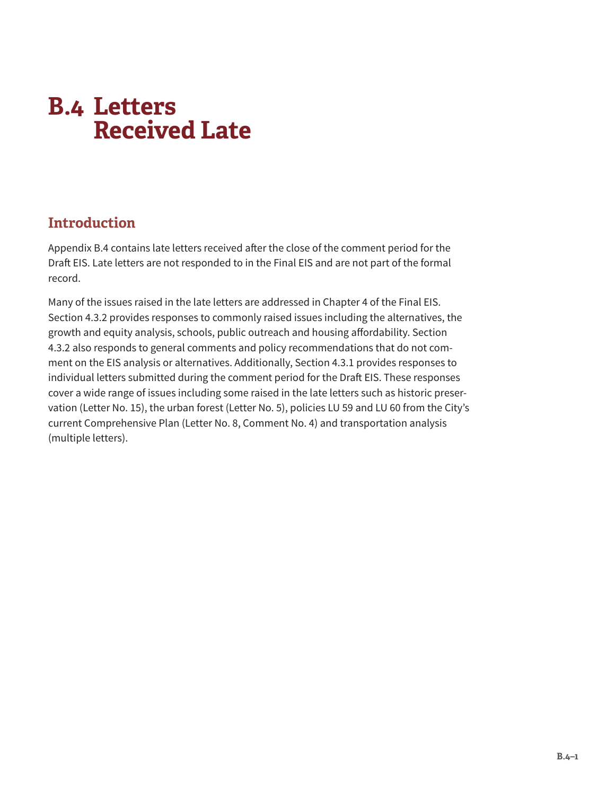# <span id="page-0-0"></span>**B.4 Letters Received Late**

## **Introduction**

[Appendix B.4](#page-0-0) contains late letters received after the close of the comment period for the Draft EIS. Late letters are not responded to in the Final EIS and are not part of the formal record.

Many of the issues raised in the late letters are addressed in Chapter 4 of the Final EIS. Section 4.3.2 provides responses to commonly raised issues including the alternatives, the growth and equity analysis, schools, public outreach and housing affordability. Section 4.3.2 also responds to general comments and policy recommendations that do not comment on the EIS analysis or alternatives. Additionally, Section 4.3.1 provides responses to individual letters submitted during the comment period for the Draft EIS. These responses cover a wide range of issues including some raised in the late letters such as historic preservation (Letter No. 15), the urban forest (Letter No. 5), policies LU 59 and LU 60 from the City's current Comprehensive Plan (Letter No. 8, Comment No. 4) and transportation analysis (multiple letters).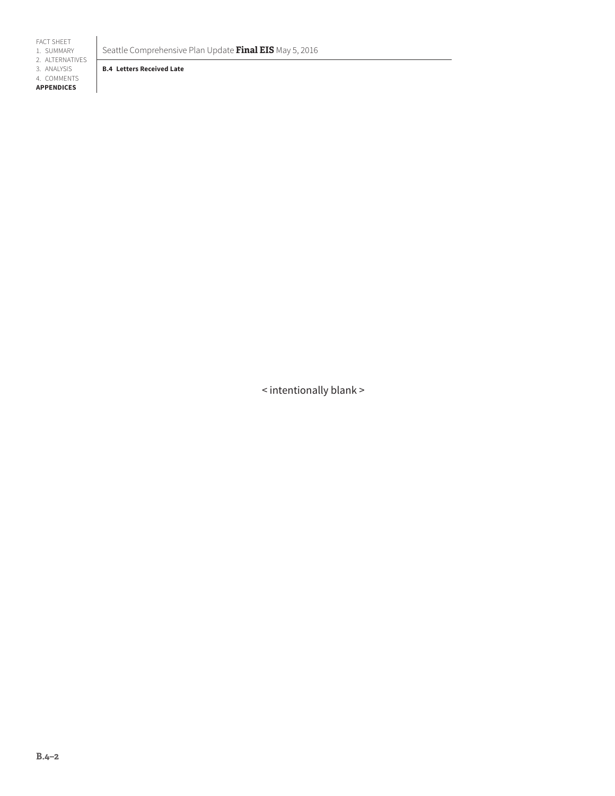FACT SHEET 1. SUMMARY

2. ALTERNATIVES

3. ANALYSIS

4. COMMENTS **APPENDICES**

Seattle Comprehensive Plan Update **Final EIS** May 5, 2016

**B.4 Letters Received Late**

< intentionally blank >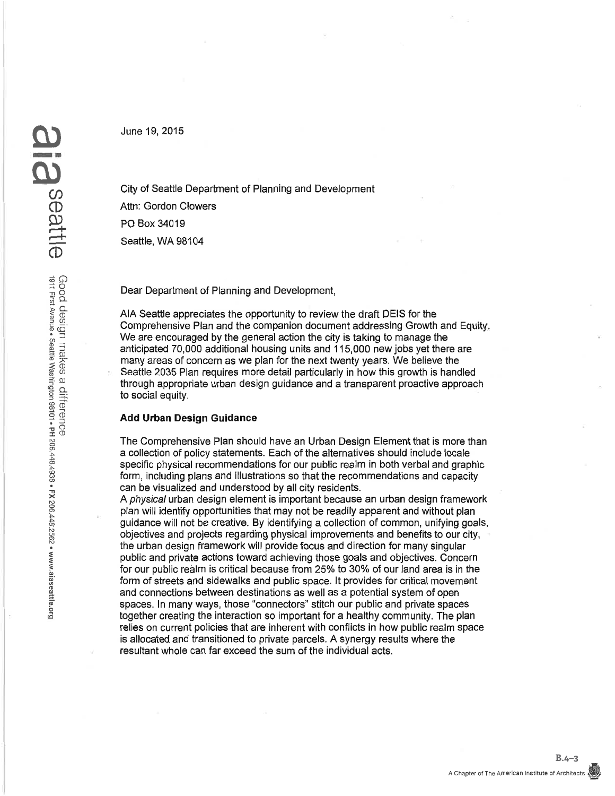June 19, 2015

City of Seattle Department of Planning and Development Attn: Gordon Clowers PO Box 34019 Seattle, WA 98104

Dear Department of Planning and Development.

AIA Seattle appreciates the opportunity to review the draft DEIS for the Comprehensive Plan and the companion document addressing Growth and Equity. We are encouraged by the general action the city is taking to manage the anticipated 70,000 additional housing units and 115,000 new jobs yet there are many areas of concern as we plan for the next twenty years. We believe the Seattle 2035 Plan requires more detail particularly in how this growth is handled through appropriate urban design guidance and a transparent proactive approach to social equity.

#### **Add Urban Design Guidance**

The Comprehensive Plan should have an Urban Design Element that is more than a collection of policy statements. Each of the alternatives should include locale specific physical recommendations for our public realm in both verbal and graphic form, including plans and illustrations so that the recommendations and capacity can be visualized and understood by all city residents.

A physical urban design element is important because an urban design framework plan will identify opportunities that may not be readily apparent and without plan quidance will not be creative. By identifying a collection of common, unifying goals, objectives and projects regarding physical improvements and benefits to our city. the urban design framework will provide focus and direction for many singular public and private actions toward achieving those goals and objectives. Concern for our public realm is critical because from 25% to 30% of our land area is in the form of streets and sidewalks and public space. It provides for critical movement and connections between destinations as well as a potential system of open spaces. In many ways, those "connectors" stitch our public and private spaces together creating the interaction so important for a healthy community. The plan relies on current policies that are inherent with conflicts in how public realm space is allocated and transitioned to private parcels. A synergy results where the resultant whole can far exceed the sum of the individual acts.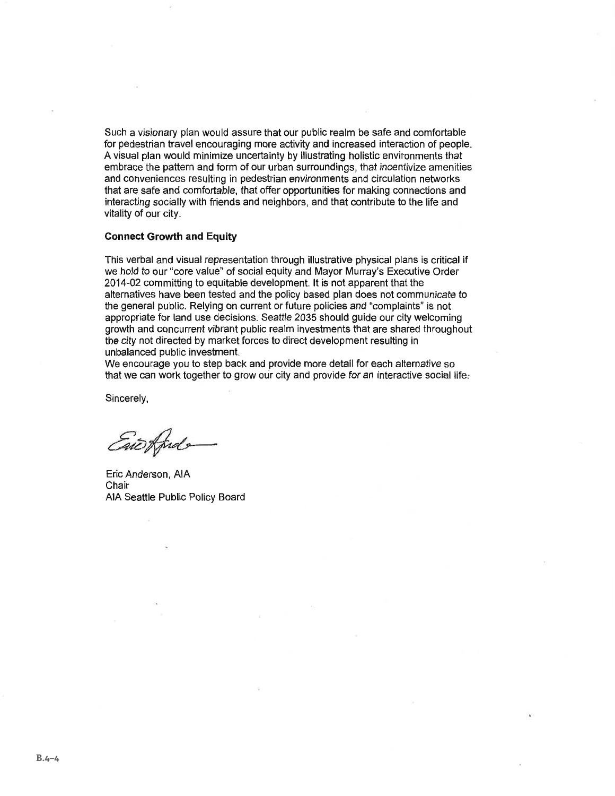Such a visionary plan would assure that our public realm be safe and comfortable for pedestrian travel encouraging more activity and increased interaction of people. A visual plan would minimize uncertainty by illustrating holistic environments that embrace the pattern and form of our urban surroundings, that incentivize amenities and conveniences resulting in pedestrian environments and circulation networks that are safe and comfortable, that offer opportunities for making connections and interacting socially with friends and neighbors, and that contribute to the life and vitality of our city.

#### **Connect Growth and Equity**

This verbal and visual representation through illustrative physical plans is critical if we hold to our "core value" of social equity and Mayor Murray's Executive Order 2014-02 committing to equitable development. It is not apparent that the alternatives have been tested and the policy based plan does not communicate to the general public. Relving on current or future policies and "complaints" is not appropriate for land use decisions. Seattle 2035 should guide our city welcoming growth and concurrent vibrant public realm investments that are shared throughout the city not directed by market forces to direct development resulting in unbalanced public investment.

We encourage you to step back and provide more detail for each alternative so that we can work together to grow our city and provide for an interactive social life.

Sincerely,

withd

Eric Anderson, AIA Chair AIA Seattle Public Policy Board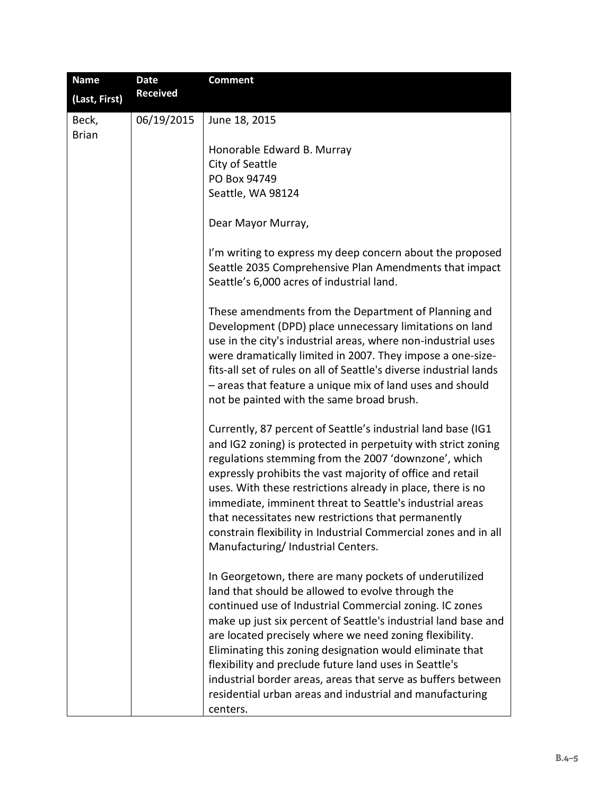| <b>Name</b>   | <b>Date</b>     | <b>Comment</b>                                                                                                                                                                                                                                                                                                                                                                                                                                                                                                                                                    |
|---------------|-----------------|-------------------------------------------------------------------------------------------------------------------------------------------------------------------------------------------------------------------------------------------------------------------------------------------------------------------------------------------------------------------------------------------------------------------------------------------------------------------------------------------------------------------------------------------------------------------|
| (Last, First) | <b>Received</b> |                                                                                                                                                                                                                                                                                                                                                                                                                                                                                                                                                                   |
| Beck,         | 06/19/2015      | June 18, 2015                                                                                                                                                                                                                                                                                                                                                                                                                                                                                                                                                     |
| <b>Brian</b>  |                 |                                                                                                                                                                                                                                                                                                                                                                                                                                                                                                                                                                   |
|               |                 | Honorable Edward B. Murray                                                                                                                                                                                                                                                                                                                                                                                                                                                                                                                                        |
|               |                 | City of Seattle                                                                                                                                                                                                                                                                                                                                                                                                                                                                                                                                                   |
|               |                 | PO Box 94749                                                                                                                                                                                                                                                                                                                                                                                                                                                                                                                                                      |
|               |                 | Seattle, WA 98124                                                                                                                                                                                                                                                                                                                                                                                                                                                                                                                                                 |
|               |                 | Dear Mayor Murray,                                                                                                                                                                                                                                                                                                                                                                                                                                                                                                                                                |
|               |                 | I'm writing to express my deep concern about the proposed<br>Seattle 2035 Comprehensive Plan Amendments that impact<br>Seattle's 6,000 acres of industrial land.                                                                                                                                                                                                                                                                                                                                                                                                  |
|               |                 | These amendments from the Department of Planning and<br>Development (DPD) place unnecessary limitations on land<br>use in the city's industrial areas, where non-industrial uses<br>were dramatically limited in 2007. They impose a one-size-<br>fits-all set of rules on all of Seattle's diverse industrial lands<br>- areas that feature a unique mix of land uses and should<br>not be painted with the same broad brush.                                                                                                                                    |
|               |                 | Currently, 87 percent of Seattle's industrial land base (IG1<br>and IG2 zoning) is protected in perpetuity with strict zoning<br>regulations stemming from the 2007 'downzone', which<br>expressly prohibits the vast majority of office and retail<br>uses. With these restrictions already in place, there is no<br>immediate, imminent threat to Seattle's industrial areas<br>that necessitates new restrictions that permanently<br>constrain flexibility in Industrial Commercial zones and in all<br>Manufacturing/Industrial Centers.                     |
|               |                 | In Georgetown, there are many pockets of underutilized<br>land that should be allowed to evolve through the<br>continued use of Industrial Commercial zoning. IC zones<br>make up just six percent of Seattle's industrial land base and<br>are located precisely where we need zoning flexibility.<br>Eliminating this zoning designation would eliminate that<br>flexibility and preclude future land uses in Seattle's<br>industrial border areas, areas that serve as buffers between<br>residential urban areas and industrial and manufacturing<br>centers. |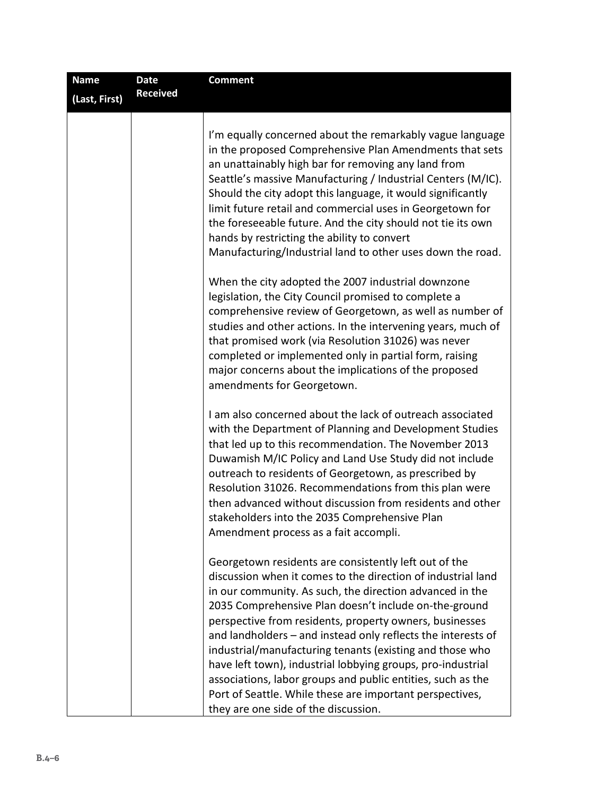| <b>Name</b>   | <b>Date</b>     | <b>Comment</b>                                                                                                                                                                                                                                                                                                                                                                                                                                                                                                                                                                                                                                                      |
|---------------|-----------------|---------------------------------------------------------------------------------------------------------------------------------------------------------------------------------------------------------------------------------------------------------------------------------------------------------------------------------------------------------------------------------------------------------------------------------------------------------------------------------------------------------------------------------------------------------------------------------------------------------------------------------------------------------------------|
| (Last, First) | <b>Received</b> |                                                                                                                                                                                                                                                                                                                                                                                                                                                                                                                                                                                                                                                                     |
|               |                 | I'm equally concerned about the remarkably vague language<br>in the proposed Comprehensive Plan Amendments that sets<br>an unattainably high bar for removing any land from<br>Seattle's massive Manufacturing / Industrial Centers (M/IC).<br>Should the city adopt this language, it would significantly<br>limit future retail and commercial uses in Georgetown for<br>the foreseeable future. And the city should not tie its own<br>hands by restricting the ability to convert<br>Manufacturing/Industrial land to other uses down the road.                                                                                                                 |
|               |                 | When the city adopted the 2007 industrial downzone<br>legislation, the City Council promised to complete a<br>comprehensive review of Georgetown, as well as number of<br>studies and other actions. In the intervening years, much of<br>that promised work (via Resolution 31026) was never<br>completed or implemented only in partial form, raising<br>major concerns about the implications of the proposed<br>amendments for Georgetown.                                                                                                                                                                                                                      |
|               |                 | I am also concerned about the lack of outreach associated<br>with the Department of Planning and Development Studies<br>that led up to this recommendation. The November 2013<br>Duwamish M/IC Policy and Land Use Study did not include<br>outreach to residents of Georgetown, as prescribed by<br>Resolution 31026. Recommendations from this plan were<br>then advanced without discussion from residents and other<br>stakeholders into the 2035 Comprehensive Plan<br>Amendment process as a fait accompli.                                                                                                                                                   |
|               |                 | Georgetown residents are consistently left out of the<br>discussion when it comes to the direction of industrial land<br>in our community. As such, the direction advanced in the<br>2035 Comprehensive Plan doesn't include on-the-ground<br>perspective from residents, property owners, businesses<br>and landholders - and instead only reflects the interests of<br>industrial/manufacturing tenants (existing and those who<br>have left town), industrial lobbying groups, pro-industrial<br>associations, labor groups and public entities, such as the<br>Port of Seattle. While these are important perspectives,<br>they are one side of the discussion. |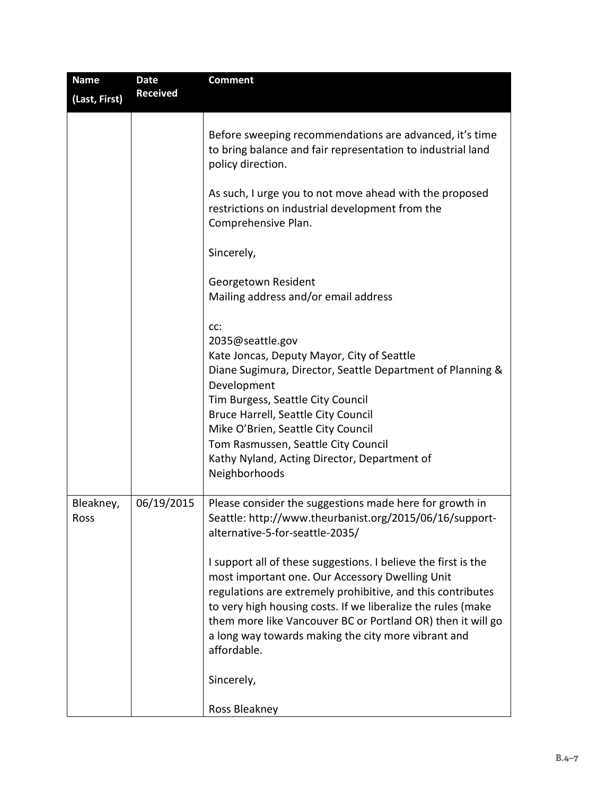| <b>Name</b>       | <b>Date</b>     | <b>Comment</b>                                                                                                                                                                                                                                                                                                                                                                                                       |
|-------------------|-----------------|----------------------------------------------------------------------------------------------------------------------------------------------------------------------------------------------------------------------------------------------------------------------------------------------------------------------------------------------------------------------------------------------------------------------|
| (Last, First)     | <b>Received</b> |                                                                                                                                                                                                                                                                                                                                                                                                                      |
|                   |                 | Before sweeping recommendations are advanced, it's time<br>to bring balance and fair representation to industrial land<br>policy direction.                                                                                                                                                                                                                                                                          |
|                   |                 | As such, I urge you to not move ahead with the proposed<br>restrictions on industrial development from the<br>Comprehensive Plan.                                                                                                                                                                                                                                                                                    |
|                   |                 | Sincerely,                                                                                                                                                                                                                                                                                                                                                                                                           |
|                   |                 | Georgetown Resident<br>Mailing address and/or email address                                                                                                                                                                                                                                                                                                                                                          |
|                   |                 | CC:<br>2035@seattle.gov<br>Kate Joncas, Deputy Mayor, City of Seattle<br>Diane Sugimura, Director, Seattle Department of Planning &<br>Development<br>Tim Burgess, Seattle City Council<br>Bruce Harrell, Seattle City Council<br>Mike O'Brien, Seattle City Council<br>Tom Rasmussen, Seattle City Council<br>Kathy Nyland, Acting Director, Department of<br>Neighborhoods                                         |
| Bleakney,<br>Ross | 06/19/2015      | Please consider the suggestions made here for growth in<br>Seattle: http://www.theurbanist.org/2015/06/16/support-<br>alternative-5-for-seattle-2035/                                                                                                                                                                                                                                                                |
|                   |                 | I support all of these suggestions. I believe the first is the<br>most important one. Our Accessory Dwelling Unit<br>regulations are extremely prohibitive, and this contributes<br>to very high housing costs. If we liberalize the rules (make<br>them more like Vancouver BC or Portland OR) then it will go<br>a long way towards making the city more vibrant and<br>affordable.<br>Sincerely,<br>Ross Bleakney |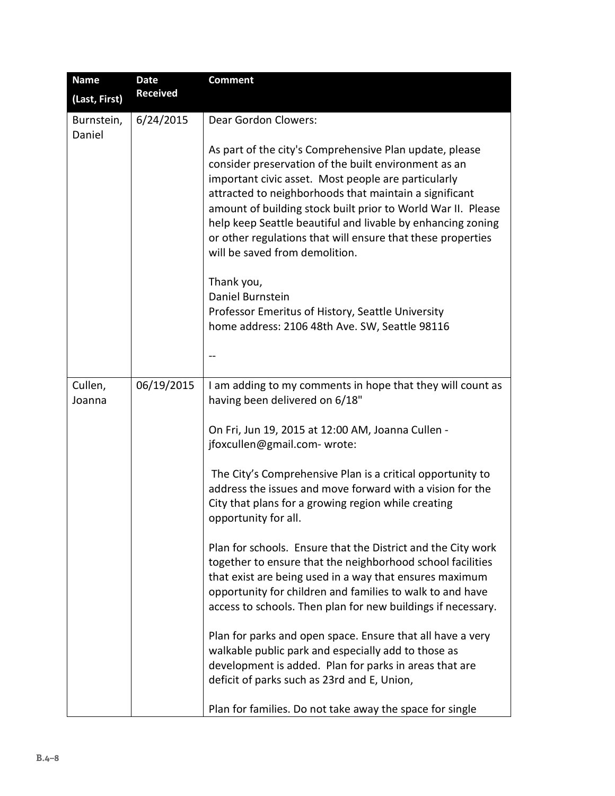| <b>Name</b>          | <b>Date</b>     | <b>Comment</b>                                                                                                                                                                                                                                                                                                                                                                                                                                                                                                                                                                                                                                                                                                                                                                                                                                                                                                                                  |
|----------------------|-----------------|-------------------------------------------------------------------------------------------------------------------------------------------------------------------------------------------------------------------------------------------------------------------------------------------------------------------------------------------------------------------------------------------------------------------------------------------------------------------------------------------------------------------------------------------------------------------------------------------------------------------------------------------------------------------------------------------------------------------------------------------------------------------------------------------------------------------------------------------------------------------------------------------------------------------------------------------------|
| (Last, First)        | <b>Received</b> |                                                                                                                                                                                                                                                                                                                                                                                                                                                                                                                                                                                                                                                                                                                                                                                                                                                                                                                                                 |
| Burnstein,<br>Daniel | 6/24/2015       | Dear Gordon Clowers:                                                                                                                                                                                                                                                                                                                                                                                                                                                                                                                                                                                                                                                                                                                                                                                                                                                                                                                            |
|                      |                 | As part of the city's Comprehensive Plan update, please<br>consider preservation of the built environment as an<br>important civic asset. Most people are particularly<br>attracted to neighborhoods that maintain a significant<br>amount of building stock built prior to World War II. Please<br>help keep Seattle beautiful and livable by enhancing zoning<br>or other regulations that will ensure that these properties<br>will be saved from demolition.                                                                                                                                                                                                                                                                                                                                                                                                                                                                                |
|                      |                 | Thank you,<br>Daniel Burnstein<br>Professor Emeritus of History, Seattle University<br>home address: 2106 48th Ave. SW, Seattle 98116                                                                                                                                                                                                                                                                                                                                                                                                                                                                                                                                                                                                                                                                                                                                                                                                           |
|                      |                 | --                                                                                                                                                                                                                                                                                                                                                                                                                                                                                                                                                                                                                                                                                                                                                                                                                                                                                                                                              |
| Cullen,<br>Joanna    | 06/19/2015      | I am adding to my comments in hope that they will count as<br>having been delivered on 6/18"<br>On Fri, Jun 19, 2015 at 12:00 AM, Joanna Cullen -<br>jfoxcullen@gmail.com- wrote:<br>The City's Comprehensive Plan is a critical opportunity to<br>address the issues and move forward with a vision for the<br>City that plans for a growing region while creating<br>opportunity for all.<br>Plan for schools. Ensure that the District and the City work<br>together to ensure that the neighborhood school facilities<br>that exist are being used in a way that ensures maximum<br>opportunity for children and families to walk to and have<br>access to schools. Then plan for new buildings if necessary.<br>Plan for parks and open space. Ensure that all have a very<br>walkable public park and especially add to those as<br>development is added. Plan for parks in areas that are<br>deficit of parks such as 23rd and E, Union, |
|                      |                 | Plan for families. Do not take away the space for single                                                                                                                                                                                                                                                                                                                                                                                                                                                                                                                                                                                                                                                                                                                                                                                                                                                                                        |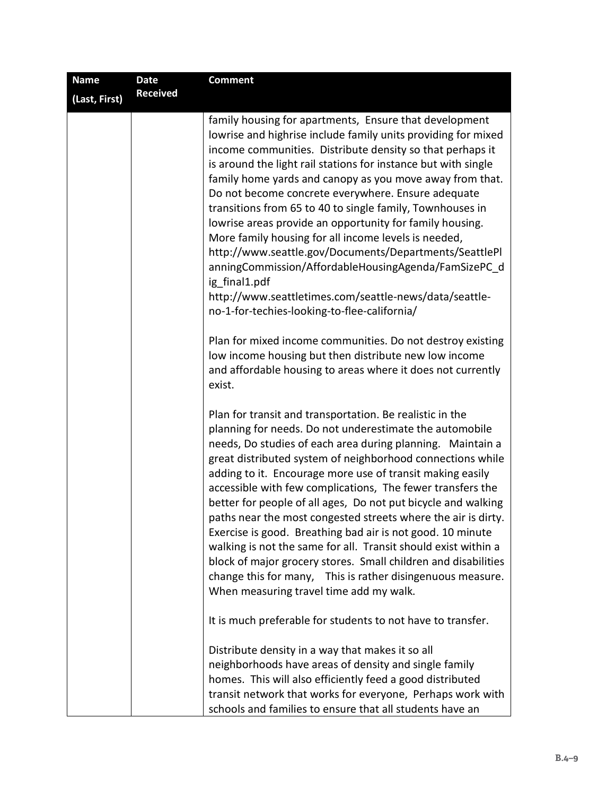| <b>Name</b>   | <b>Date</b>     | <b>Comment</b>                                                                                                                                                                                                                                                                                                                                                                                                                                                                                                                                                                                                                                                                                                                                                                                                          |
|---------------|-----------------|-------------------------------------------------------------------------------------------------------------------------------------------------------------------------------------------------------------------------------------------------------------------------------------------------------------------------------------------------------------------------------------------------------------------------------------------------------------------------------------------------------------------------------------------------------------------------------------------------------------------------------------------------------------------------------------------------------------------------------------------------------------------------------------------------------------------------|
| (Last, First) | <b>Received</b> |                                                                                                                                                                                                                                                                                                                                                                                                                                                                                                                                                                                                                                                                                                                                                                                                                         |
|               |                 | family housing for apartments, Ensure that development<br>lowrise and highrise include family units providing for mixed<br>income communities. Distribute density so that perhaps it<br>is around the light rail stations for instance but with single<br>family home yards and canopy as you move away from that.<br>Do not become concrete everywhere. Ensure adequate<br>transitions from 65 to 40 to single family, Townhouses in<br>lowrise areas provide an opportunity for family housing.<br>More family housing for all income levels is needed,<br>http://www.seattle.gov/Documents/Departments/SeattlePl<br>anningCommission/AffordableHousingAgenda/FamSizePC_d<br>ig final1.pdf<br>http://www.seattletimes.com/seattle-news/data/seattle-<br>no-1-for-techies-looking-to-flee-california/                  |
|               |                 | Plan for mixed income communities. Do not destroy existing<br>low income housing but then distribute new low income<br>and affordable housing to areas where it does not currently<br>exist.                                                                                                                                                                                                                                                                                                                                                                                                                                                                                                                                                                                                                            |
|               |                 | Plan for transit and transportation. Be realistic in the<br>planning for needs. Do not underestimate the automobile<br>needs, Do studies of each area during planning. Maintain a<br>great distributed system of neighborhood connections while<br>adding to it. Encourage more use of transit making easily<br>accessible with few complications, The fewer transfers the<br>better for people of all ages, Do not put bicycle and walking<br>paths near the most congested streets where the air is dirty.<br>Exercise is good. Breathing bad air is not good. 10 minute<br>walking is not the same for all. Transit should exist within a<br>block of major grocery stores. Small children and disabilities<br>change this for many, This is rather disingenuous measure.<br>When measuring travel time add my walk. |
|               |                 | It is much preferable for students to not have to transfer.                                                                                                                                                                                                                                                                                                                                                                                                                                                                                                                                                                                                                                                                                                                                                             |
|               |                 | Distribute density in a way that makes it so all<br>neighborhoods have areas of density and single family<br>homes. This will also efficiently feed a good distributed<br>transit network that works for everyone, Perhaps work with<br>schools and families to ensure that all students have an                                                                                                                                                                                                                                                                                                                                                                                                                                                                                                                        |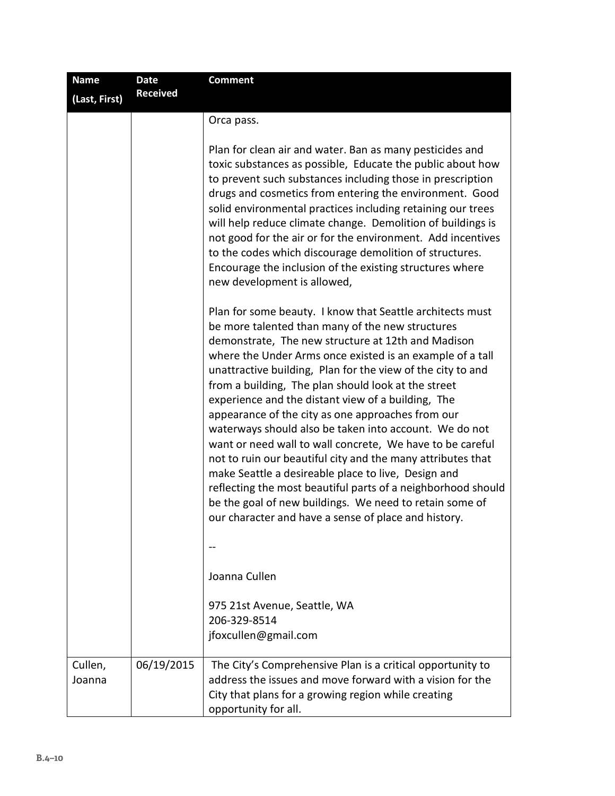| <b>Name</b>       | <b>Date</b>     | <b>Comment</b>                                                                                                                                                                                                                                                                                                                                                                                                                                                                                                                                                                                                                                                                                                                                                                                                                                                                                    |
|-------------------|-----------------|---------------------------------------------------------------------------------------------------------------------------------------------------------------------------------------------------------------------------------------------------------------------------------------------------------------------------------------------------------------------------------------------------------------------------------------------------------------------------------------------------------------------------------------------------------------------------------------------------------------------------------------------------------------------------------------------------------------------------------------------------------------------------------------------------------------------------------------------------------------------------------------------------|
| (Last, First)     | <b>Received</b> |                                                                                                                                                                                                                                                                                                                                                                                                                                                                                                                                                                                                                                                                                                                                                                                                                                                                                                   |
|                   |                 | Orca pass.                                                                                                                                                                                                                                                                                                                                                                                                                                                                                                                                                                                                                                                                                                                                                                                                                                                                                        |
|                   |                 | Plan for clean air and water. Ban as many pesticides and<br>toxic substances as possible, Educate the public about how<br>to prevent such substances including those in prescription<br>drugs and cosmetics from entering the environment. Good<br>solid environmental practices including retaining our trees<br>will help reduce climate change. Demolition of buildings is<br>not good for the air or for the environment. Add incentives<br>to the codes which discourage demolition of structures.<br>Encourage the inclusion of the existing structures where<br>new development is allowed,                                                                                                                                                                                                                                                                                                |
|                   |                 | Plan for some beauty. I know that Seattle architects must<br>be more talented than many of the new structures<br>demonstrate, The new structure at 12th and Madison<br>where the Under Arms once existed is an example of a tall<br>unattractive building, Plan for the view of the city to and<br>from a building, The plan should look at the street<br>experience and the distant view of a building, The<br>appearance of the city as one approaches from our<br>waterways should also be taken into account. We do not<br>want or need wall to wall concrete, We have to be careful<br>not to ruin our beautiful city and the many attributes that<br>make Seattle a desireable place to live, Design and<br>reflecting the most beautiful parts of a neighborhood should<br>be the goal of new buildings. We need to retain some of<br>our character and have a sense of place and history. |
|                   |                 | Joanna Cullen                                                                                                                                                                                                                                                                                                                                                                                                                                                                                                                                                                                                                                                                                                                                                                                                                                                                                     |
|                   |                 | 975 21st Avenue, Seattle, WA<br>206-329-8514<br>jfoxcullen@gmail.com                                                                                                                                                                                                                                                                                                                                                                                                                                                                                                                                                                                                                                                                                                                                                                                                                              |
| Cullen,<br>Joanna | 06/19/2015      | The City's Comprehensive Plan is a critical opportunity to<br>address the issues and move forward with a vision for the<br>City that plans for a growing region while creating<br>opportunity for all.                                                                                                                                                                                                                                                                                                                                                                                                                                                                                                                                                                                                                                                                                            |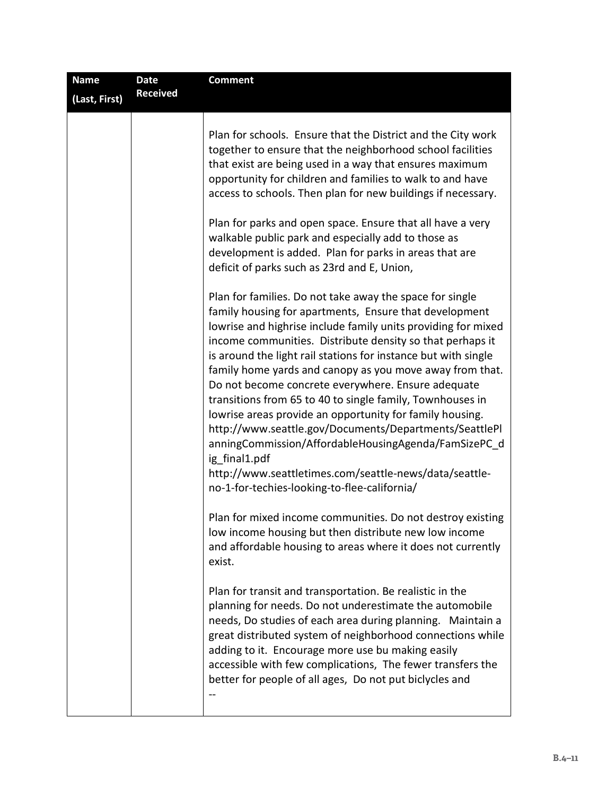| <b>Name</b><br>(Last, First) | <b>Date</b><br><b>Received</b> | <b>Comment</b>                                                                                                                                                                                                                                                                                                                                                                                                                                                                                                                                                                                                                                                                                                                                                                                                                                                                                                                                                                                                                                                                                                                                                                                                                                                                                                                                                                                                                                                                                                                                                 |
|------------------------------|--------------------------------|----------------------------------------------------------------------------------------------------------------------------------------------------------------------------------------------------------------------------------------------------------------------------------------------------------------------------------------------------------------------------------------------------------------------------------------------------------------------------------------------------------------------------------------------------------------------------------------------------------------------------------------------------------------------------------------------------------------------------------------------------------------------------------------------------------------------------------------------------------------------------------------------------------------------------------------------------------------------------------------------------------------------------------------------------------------------------------------------------------------------------------------------------------------------------------------------------------------------------------------------------------------------------------------------------------------------------------------------------------------------------------------------------------------------------------------------------------------------------------------------------------------------------------------------------------------|
|                              |                                | Plan for schools. Ensure that the District and the City work<br>together to ensure that the neighborhood school facilities<br>that exist are being used in a way that ensures maximum<br>opportunity for children and families to walk to and have<br>access to schools. Then plan for new buildings if necessary.<br>Plan for parks and open space. Ensure that all have a very<br>walkable public park and especially add to those as<br>development is added. Plan for parks in areas that are<br>deficit of parks such as 23rd and E, Union,<br>Plan for families. Do not take away the space for single<br>family housing for apartments, Ensure that development<br>lowrise and highrise include family units providing for mixed<br>income communities. Distribute density so that perhaps it<br>is around the light rail stations for instance but with single<br>family home yards and canopy as you move away from that.<br>Do not become concrete everywhere. Ensure adequate<br>transitions from 65 to 40 to single family, Townhouses in<br>lowrise areas provide an opportunity for family housing.<br>http://www.seattle.gov/Documents/Departments/SeattlePl<br>anningCommission/AffordableHousingAgenda/FamSizePC_d<br>ig final1.pdf<br>http://www.seattletimes.com/seattle-news/data/seattle-<br>no-1-for-techies-looking-to-flee-california/<br>Plan for mixed income communities. Do not destroy existing<br>low income housing but then distribute new low income<br>and affordable housing to areas where it does not currently<br>exist. |
|                              |                                | Plan for transit and transportation. Be realistic in the<br>planning for needs. Do not underestimate the automobile<br>needs, Do studies of each area during planning. Maintain a<br>great distributed system of neighborhood connections while<br>adding to it. Encourage more use bu making easily<br>accessible with few complications, The fewer transfers the<br>better for people of all ages, Do not put biclycles and                                                                                                                                                                                                                                                                                                                                                                                                                                                                                                                                                                                                                                                                                                                                                                                                                                                                                                                                                                                                                                                                                                                                  |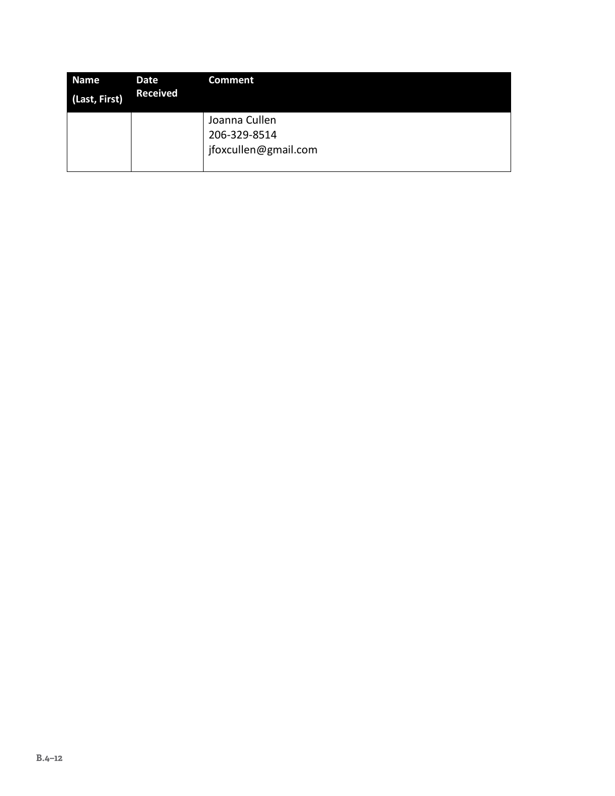| Name<br>(Last, First) | Date<br><b>Received</b> | <b>Comment</b>                                        |
|-----------------------|-------------------------|-------------------------------------------------------|
|                       |                         | Joanna Cullen<br>206-329-8514<br>jfoxcullen@gmail.com |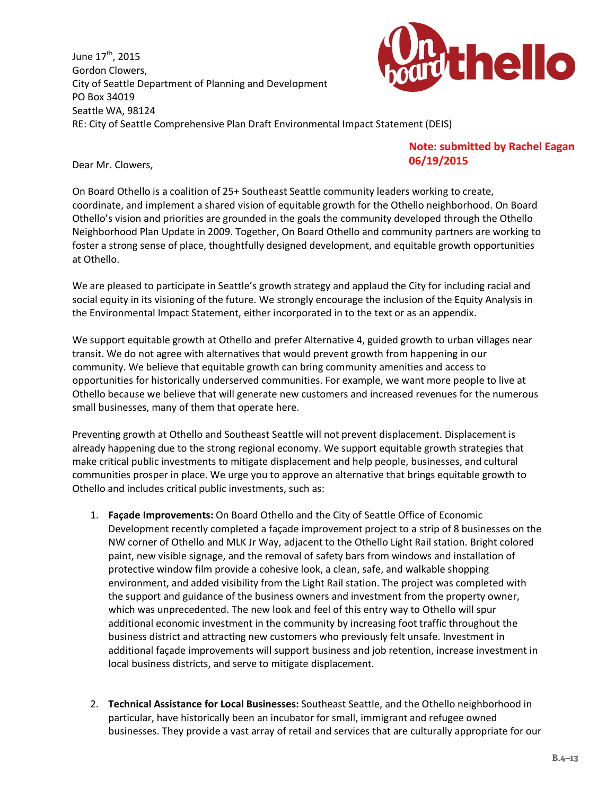June 17<sup>th</sup>, 2015 Gordon Clowers, City of Seattle Department of Planning and Development PO Box 34019 Seattle WA, 98124 RE: City of Seattle Comprehensive Plan Draft Environmental Impact Statement (DEIS)



Dear Mr. Clowers,

## **Note: submitted by Rachel Eagan 06/19/2015**

On Board Othello is a coalition of 25+ Southeast Seattle community leaders working to create, coordinate, and implement a shared vision of equitable growth for the Othello neighborhood. On Board Othello's vision and priorities are grounded in the goals the community developed through the Othello Neighborhood Plan Update in 2009. Together, On Board Othello and community partners are working to foster a strong sense of place, thoughtfully designed development, and equitable growth opportunities at Othello.

We are pleased to participate in Seattle's growth strategy and applaud the City for including racial and social equity in its visioning of the future. We strongly encourage the inclusion of the Equity Analysis in the Environmental Impact Statement, either incorporated in to the text or as an appendix.

We support equitable growth at Othello and prefer Alternative 4, guided growth to urban villages near transit. We do not agree with alternatives that would prevent growth from happening in our community. We believe that equitable growth can bring community amenities and access to opportunities for historically underserved communities. For example, we want more people to live at Othello because we believe that will generate new customers and increased revenues for the numerous small businesses, many of them that operate here.

Preventing growth at Othello and Southeast Seattle will not prevent displacement. Displacement is already happening due to the strong regional economy. We support equitable growth strategies that make critical public investments to mitigate displacement and help people, businesses, and cultural communities prosper in place. We urge you to approve an alternative that brings equitable growth to Othello and includes critical public investments, such as:

- 1. **Façade Improvements:** On Board Othello and the City of Seattle Office of Economic Development recently completed a façade improvement project to a strip of 8 businesses on the NW corner of Othello and MLK Jr Way, adjacent to the Othello Light Rail station. Bright colored paint, new visible signage, and the removal of safety bars from windows and installation of protective window film provide a cohesive look, a clean, safe, and walkable shopping environment, and added visibility from the Light Rail station. The project was completed with the support and guidance of the business owners and investment from the property owner, which was unprecedented. The new look and feel of this entry way to Othello will spur additional economic investment in the community by increasing foot traffic throughout the business district and attracting new customers who previously felt unsafe. Investment in additional façade improvements will support business and job retention, increase investment in local business districts, and serve to mitigate displacement.
- 2. **Technical Assistance for Local Businesses:** Southeast Seattle, and the Othello neighborhood in particular, have historically been an incubator for small, immigrant and refugee owned businesses. They provide a vast array of retail and services that are culturally appropriate for our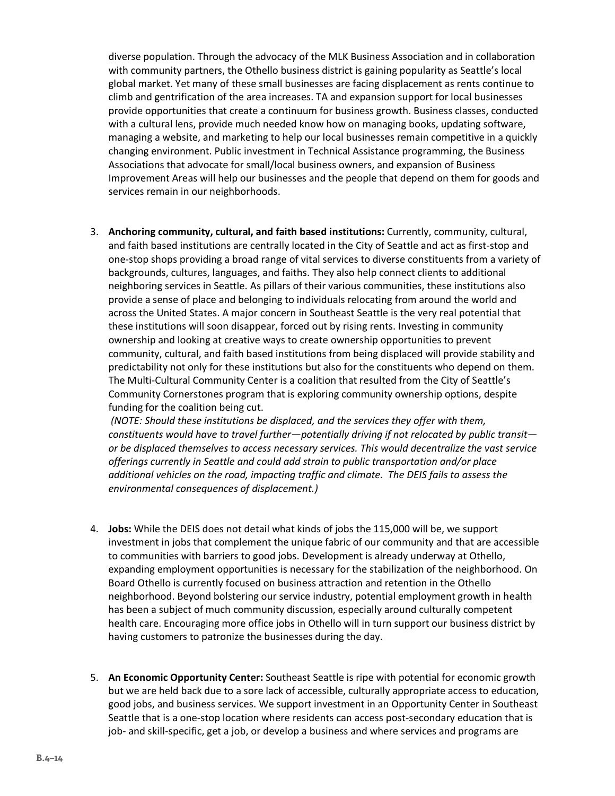diverse population. Through the advocacy of the MLK Business Association and in collaboration with community partners, the Othello business district is gaining popularity as Seattle's local global market. Yet many of these small businesses are facing displacement as rents continue to climb and gentrification of the area increases. TA and expansion support for local businesses provide opportunities that create a continuum for business growth. Business classes, conducted with a cultural lens, provide much needed know how on managing books, updating software, managing a website, and marketing to help our local businesses remain competitive in a quickly changing environment. Public investment in Technical Assistance programming, the Business Associations that advocate for small/local business owners, and expansion of Business Improvement Areas will help our businesses and the people that depend on them for goods and services remain in our neighborhoods.

3. **Anchoring community, cultural, and faith based institutions:** Currently, community, cultural, and faith based institutions are centrally located in the City of Seattle and act as first-stop and one-stop shops providing a broad range of vital services to diverse constituents from a variety of backgrounds, cultures, languages, and faiths. They also help connect clients to additional neighboring services in Seattle. As pillars of their various communities, these institutions also provide a sense of place and belonging to individuals relocating from around the world and across the United States. A major concern in Southeast Seattle is the very real potential that these institutions will soon disappear, forced out by rising rents. Investing in community ownership and looking at creative ways to create ownership opportunities to prevent community, cultural, and faith based institutions from being displaced will provide stability and predictability not only for these institutions but also for the constituents who depend on them. The Multi-Cultural Community Center is a coalition that resulted from the City of Seattle's Community Cornerstones program that is exploring community ownership options, despite funding for the coalition being cut.

*(NOTE: Should these institutions be displaced, and the services they offer with them, constituents would have to travel further—potentially driving if not relocated by public transit or be displaced themselves to access necessary services. This would decentralize the vast service offerings currently in Seattle and could add strain to public transportation and/or place additional vehicles on the road, impacting traffic and climate. The DEIS fails to assess the environmental consequences of displacement.)*

- 4. **Jobs:** While the DEIS does not detail what kinds of jobs the 115,000 will be, we support investment in jobs that complement the unique fabric of our community and that are accessible to communities with barriers to good jobs. Development is already underway at Othello, expanding employment opportunities is necessary for the stabilization of the neighborhood. On Board Othello is currently focused on business attraction and retention in the Othello neighborhood. Beyond bolstering our service industry, potential employment growth in health has been a subject of much community discussion, especially around culturally competent health care. Encouraging more office jobs in Othello will in turn support our business district by having customers to patronize the businesses during the day.
- 5. **An Economic Opportunity Center:** Southeast Seattle is ripe with potential for economic growth but we are held back due to a sore lack of accessible, culturally appropriate access to education, good jobs, and business services. We support investment in an Opportunity Center in Southeast Seattle that is a one-stop location where residents can access post-secondary education that is job- and skill-specific, get a job, or develop a business and where services and programs are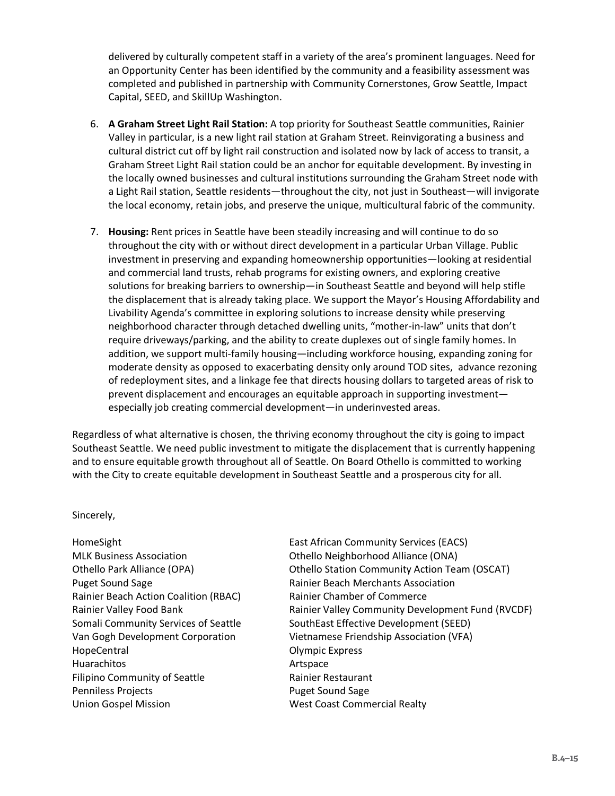delivered by culturally competent staff in a variety of the area's prominent languages. Need for an Opportunity Center has been identified by the community and a feasibility assessment was completed and published in partnership with Community Cornerstones, Grow Seattle, Impact Capital, SEED, and SkillUp Washington.

- 6. **A Graham Street Light Rail Station:** A top priority for Southeast Seattle communities, Rainier Valley in particular, is a new light rail station at Graham Street. Reinvigorating a business and cultural district cut off by light rail construction and isolated now by lack of access to transit, a Graham Street Light Rail station could be an anchor for equitable development. By investing in the locally owned businesses and cultural institutions surrounding the Graham Street node with a Light Rail station, Seattle residents—throughout the city, not just in Southeast—will invigorate the local economy, retain jobs, and preserve the unique, multicultural fabric of the community.
- 7. **Housing:** Rent prices in Seattle have been steadily increasing and will continue to do so throughout the city with or without direct development in a particular Urban Village. Public investment in preserving and expanding homeownership opportunities—looking at residential and commercial land trusts, rehab programs for existing owners, and exploring creative solutions for breaking barriers to ownership—in Southeast Seattle and beyond will help stifle the displacement that is already taking place. We support the Mayor's Housing Affordability and Livability Agenda's committee in exploring solutions to increase density while preserving neighborhood character through detached dwelling units, "mother-in-law" units that don't require driveways/parking, and the ability to create duplexes out of single family homes. In addition, we support multi-family housing—including workforce housing, expanding zoning for moderate density as opposed to exacerbating density only around TOD sites, advance rezoning of redeployment sites, and a linkage fee that directs housing dollars to targeted areas of risk to prevent displacement and encourages an equitable approach in supporting investment especially job creating commercial development—in underinvested areas.

Regardless of what alternative is chosen, the thriving economy throughout the city is going to impact Southeast Seattle. We need public investment to mitigate the displacement that is currently happening and to ensure equitable growth throughout all of Seattle. On Board Othello is committed to working with the City to create equitable development in Southeast Seattle and a prosperous city for all.

#### Sincerely,

Puget Sound Sage Rainier Beach Merchants Association Rainier Beach Action Coalition (RBAC) Rainier Chamber of Commerce HopeCentral **Contral Contral Contral Contract Contract Contract Contract Contract Contract Contract Contract Contract Contract Contract Contract Contract Contract Contract Contract Contract Contract Contract Contract Contr** Huarachitos **Artspace** Filipino Community of Seattle Rainier Restaurant Penniless Projects **Puget Sound Sage** Union Gospel Mission West Coast Commercial Realty

HomeSight East African Community Services (EACS) MLK Business Association Othello Neighborhood Alliance (ONA) Othello Park Alliance (OPA) Othello Station Community Action Team (OSCAT) Rainier Valley Food Bank *Rainier Valley Community Development Fund (RVCDF)* Somali Community Services of Seattle SouthEast Effective Development (SEED) Van Gogh Development Corporation Vietnamese Friendship Association (VFA)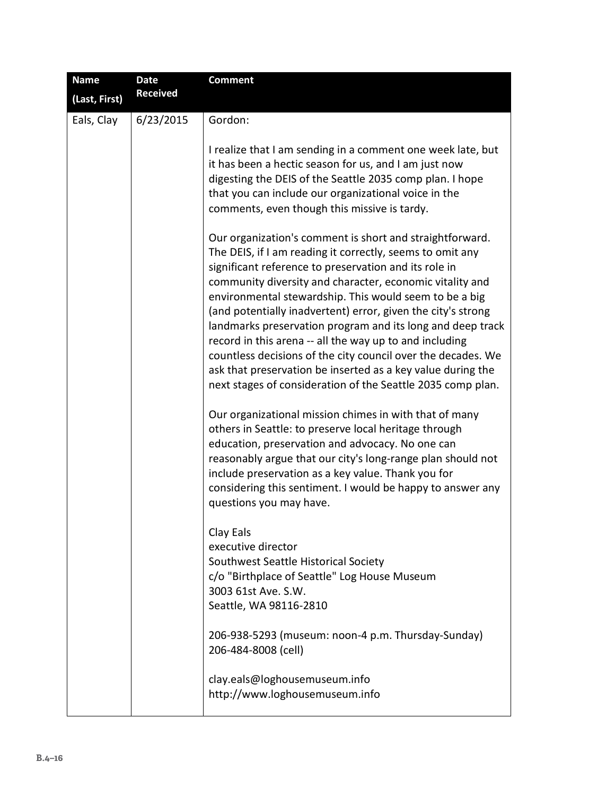| <b>Name</b>   | <b>Date</b>     | <b>Comment</b>                                                                                                                                                                                                                                                                                                                                                                                                                                                                                                                                                                                                                                                                              |
|---------------|-----------------|---------------------------------------------------------------------------------------------------------------------------------------------------------------------------------------------------------------------------------------------------------------------------------------------------------------------------------------------------------------------------------------------------------------------------------------------------------------------------------------------------------------------------------------------------------------------------------------------------------------------------------------------------------------------------------------------|
| (Last, First) | <b>Received</b> |                                                                                                                                                                                                                                                                                                                                                                                                                                                                                                                                                                                                                                                                                             |
| Eals, Clay    | 6/23/2015       | Gordon:                                                                                                                                                                                                                                                                                                                                                                                                                                                                                                                                                                                                                                                                                     |
|               |                 | I realize that I am sending in a comment one week late, but<br>it has been a hectic season for us, and I am just now<br>digesting the DEIS of the Seattle 2035 comp plan. I hope<br>that you can include our organizational voice in the<br>comments, even though this missive is tardy.                                                                                                                                                                                                                                                                                                                                                                                                    |
|               |                 | Our organization's comment is short and straightforward.<br>The DEIS, if I am reading it correctly, seems to omit any<br>significant reference to preservation and its role in<br>community diversity and character, economic vitality and<br>environmental stewardship. This would seem to be a big<br>(and potentially inadvertent) error, given the city's strong<br>landmarks preservation program and its long and deep track<br>record in this arena -- all the way up to and including<br>countless decisions of the city council over the decades. We<br>ask that preservation be inserted as a key value during the<br>next stages of consideration of the Seattle 2035 comp plan. |
|               |                 | Our organizational mission chimes in with that of many<br>others in Seattle: to preserve local heritage through<br>education, preservation and advocacy. No one can<br>reasonably argue that our city's long-range plan should not<br>include preservation as a key value. Thank you for<br>considering this sentiment. I would be happy to answer any<br>questions you may have.                                                                                                                                                                                                                                                                                                           |
|               |                 | Clay Eals<br>executive director<br>Southwest Seattle Historical Society<br>c/o "Birthplace of Seattle" Log House Museum<br>3003 61st Ave. S.W.<br>Seattle, WA 98116-2810                                                                                                                                                                                                                                                                                                                                                                                                                                                                                                                    |
|               |                 | 206-938-5293 (museum: noon-4 p.m. Thursday-Sunday)<br>206-484-8008 (cell)                                                                                                                                                                                                                                                                                                                                                                                                                                                                                                                                                                                                                   |
|               |                 | clay.eals@loghousemuseum.info<br>http://www.loghousemuseum.info                                                                                                                                                                                                                                                                                                                                                                                                                                                                                                                                                                                                                             |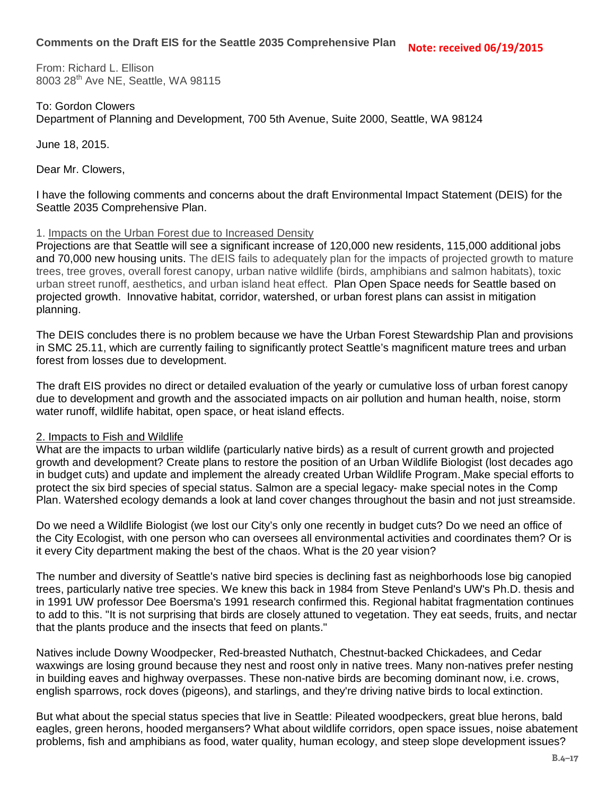From: Richard L. Ellison 8003 28<sup>th</sup> Ave NE, Seattle, WA 98115

To: Gordon Clowers Department of Planning and Development, 700 5th Avenue, Suite 2000, Seattle, WA 98124

June 18, 2015.

Dear Mr. Clowers,

I have the following comments and concerns about the draft Environmental Impact Statement (DEIS) for the Seattle 2035 Comprehensive Plan.

### 1. Impacts on the Urban Forest due to Increased Density

Projections are that Seattle will see a significant increase of 120,000 new residents, 115,000 additional jobs and 70,000 new housing units. The dEIS fails to adequately plan for the impacts of projected growth to mature trees, tree groves, overall forest canopy, urban native wildlife (birds, amphibians and salmon habitats), toxic urban street runoff, aesthetics, and urban island heat effect. Plan Open Space needs for Seattle based on projected growth. Innovative habitat, corridor, watershed, or urban forest plans can assist in mitigation planning.

The DEIS concludes there is no problem because we have the Urban Forest Stewardship Plan and provisions in SMC 25.11, which are currently failing to significantly protect Seattle's magnificent mature trees and urban forest from losses due to development.

The draft EIS provides no direct or detailed evaluation of the yearly or cumulative loss of urban forest canopy due to development and growth and the associated impacts on air pollution and human health, noise, storm water runoff, wildlife habitat, open space, or heat island effects.

#### 2. Impacts to Fish and Wildlife

What are the impacts to urban wildlife (particularly native birds) as a result of current growth and projected growth and development? Create plans to restore the position of an Urban Wildlife Biologist (lost decades ago in budget cuts) and update and implement the already created Urban Wildlife Program. Make special efforts to protect the six bird species of special status. Salmon are a special legacy- make special notes in the Comp Plan. Watershed ecology demands a look at land cover changes throughout the basin and not just streamside.

Do we need a Wildlife Biologist (we lost our City's only one recently in budget cuts? Do we need an office of the City Ecologist, with one person who can oversees all environmental activities and coordinates them? Or is it every City department making the best of the chaos. What is the 20 year vision?

The number and diversity of Seattle's native bird species is declining fast as neighborhoods lose big canopied trees, particularly native tree species. We knew this back in 1984 from Steve Penland's UW's Ph.D. thesis and in 1991 UW professor Dee Boersma's 1991 research confirmed this. Regional habitat fragmentation continues to add to this. "It is not surprising that birds are closely attuned to vegetation. They eat seeds, fruits, and nectar that the plants produce and the insects that feed on plants."

Natives include Downy Woodpecker, Red-breasted Nuthatch, Chestnut-backed Chickadees, and Cedar waxwings are losing ground because they nest and roost only in native trees. Many non-natives prefer nesting in building eaves and highway overpasses. These non-native birds are becoming dominant now, i.e. crows, english sparrows, rock doves (pigeons), and starlings, and they're driving native birds to local extinction.

But what about the special status species that live in Seattle: Pileated woodpeckers, great blue herons, bald eagles, green herons, hooded mergansers? What about wildlife corridors, open space issues, noise abatement problems, fish and amphibians as food, water quality, human ecology, and steep slope development issues?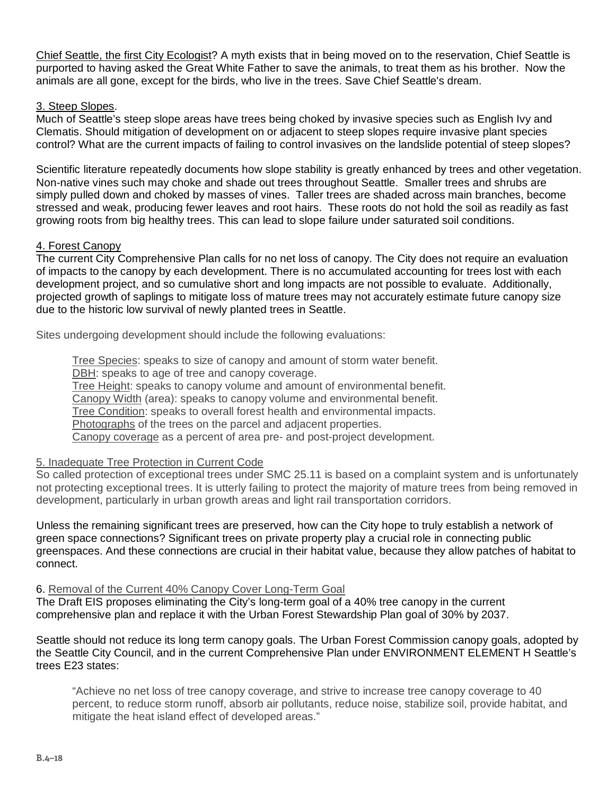Chief Seattle, the first City Ecologist? A myth exists that in being moved on to the reservation, Chief Seattle is purported to having asked the Great White Father to save the animals, to treat them as his brother. Now the animals are all gone, except for the birds, who live in the trees. Save Chief Seattle's dream.

## 3. Steep Slopes.

Much of Seattle's steep slope areas have trees being choked by invasive species such as English Ivy and Clematis. Should mitigation of development on or adjacent to steep slopes require invasive plant species control? What are the current impacts of failing to control invasives on the landslide potential of steep slopes?

Scientific literature repeatedly documents how slope stability is greatly enhanced by trees and other vegetation. Non-native vines such may choke and shade out trees throughout Seattle. Smaller trees and shrubs are simply pulled down and choked by masses of vines. Taller trees are shaded across main branches, become stressed and weak, producing fewer leaves and root hairs. These roots do not hold the soil as readily as fast growing roots from big healthy trees. This can lead to slope failure under saturated soil conditions.

### 4. Forest Canopy

The current City Comprehensive Plan calls for no net loss of canopy. The City does not require an evaluation of impacts to the canopy by each development. There is no accumulated accounting for trees lost with each development project, and so cumulative short and long impacts are not possible to evaluate. Additionally, projected growth of saplings to mitigate loss of mature trees may not accurately estimate future canopy size due to the historic low survival of newly planted trees in Seattle.

Sites undergoing development should include the following evaluations:

Tree Species: speaks to size of canopy and amount of storm water benefit.

DBH: speaks to age of tree and canopy coverage.

Tree Height: speaks to canopy volume and amount of environmental benefit.

Canopy Width (area): speaks to canopy volume and environmental benefit.

Tree Condition: speaks to overall forest health and environmental impacts.

Photographs of the trees on the parcel and adjacent properties.

Canopy coverage as a percent of area pre- and post-project development.

## 5. Inadequate Tree Protection in Current Code

So called protection of exceptional trees under SMC 25.11 is based on a complaint system and is unfortunately not protecting exceptional trees. It is utterly failing to protect the majority of mature trees from being removed in development, particularly in urban growth areas and light rail transportation corridors.

Unless the remaining significant trees are preserved, how can the City hope to truly establish a network of green space connections? Significant trees on private property play a crucial role in connecting public greenspaces. And these connections are crucial in their habitat value, because they allow patches of habitat to connect.

#### 6. Removal of the Current 40% Canopy Cover Long-Term Goal

The Draft EIS proposes eliminating the City's long-term goal of a 40% tree canopy in the current comprehensive plan and replace it with the Urban Forest Stewardship Plan goal of 30% by 2037.

Seattle should not reduce its long term canopy goals. The Urban Forest Commission canopy goals, adopted by the Seattle City Council, and in the current Comprehensive Plan under ENVIRONMENT ELEMENT H Seattle's trees E23 states:

"Achieve no net loss of tree canopy coverage, and strive to increase tree canopy coverage to 40 percent, to reduce storm runoff, absorb air pollutants, reduce noise, stabilize soil, provide habitat, and mitigate the heat island effect of developed areas."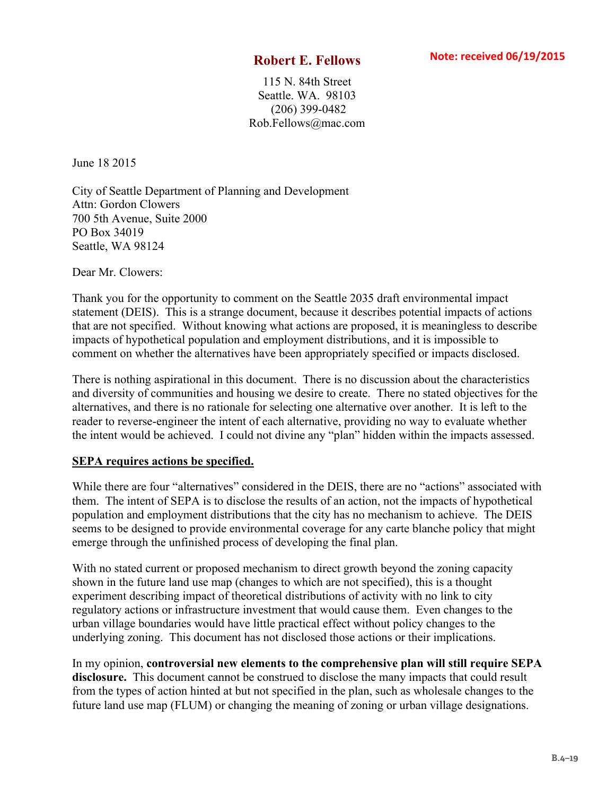115 N. 84th Street Seattle. WA. 98103 (206) 399-0482 Rob.Fellows@mac.com

June 18 2015

City of Seattle Department of Planning and Development Attn: Gordon Clowers 700 5th Avenue, Suite 2000 PO Box 34019 Seattle, WA 98124

Dear Mr. Clowers:

Thank you for the opportunity to comment on the Seattle 2035 draft environmental impact statement (DEIS). This is a strange document, because it describes potential impacts of actions that are not specified. Without knowing what actions are proposed, it is meaningless to describe impacts of hypothetical population and employment distributions, and it is impossible to comment on whether the alternatives have been appropriately specified or impacts disclosed.

There is nothing aspirational in this document. There is no discussion about the characteristics and diversity of communities and housing we desire to create. There no stated objectives for the alternatives, and there is no rationale for selecting one alternative over another. It is left to the reader to reverse-engineer the intent of each alternative, providing no way to evaluate whether the intent would be achieved. I could not divine any "plan" hidden within the impacts assessed.

## **SEPA requires actions be specified.**

While there are four "alternatives" considered in the DEIS, there are no "actions" associated with them. The intent of SEPA is to disclose the results of an action, not the impacts of hypothetical population and employment distributions that the city has no mechanism to achieve. The DEIS seems to be designed to provide environmental coverage for any carte blanche policy that might emerge through the unfinished process of developing the final plan.

With no stated current or proposed mechanism to direct growth beyond the zoning capacity shown in the future land use map (changes to which are not specified), this is a thought experiment describing impact of theoretical distributions of activity with no link to city regulatory actions or infrastructure investment that would cause them. Even changes to the urban village boundaries would have little practical effect without policy changes to the underlying zoning. This document has not disclosed those actions or their implications.

In my opinion, **controversial new elements to the comprehensive plan will still require SEPA disclosure.** This document cannot be construed to disclose the many impacts that could result from the types of action hinted at but not specified in the plan, such as wholesale changes to the future land use map (FLUM) or changing the meaning of zoning or urban village designations.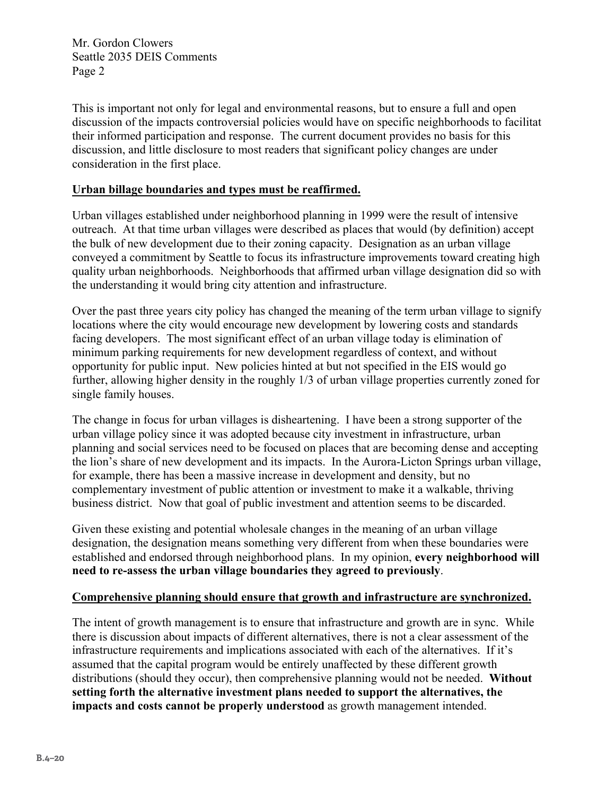Mr. Gordon Clowers Seattle 2035 DEIS Comments Page 2

This is important not only for legal and environmental reasons, but to ensure a full and open discussion of the impacts controversial policies would have on specific neighborhoods to facilitat their informed participation and response. The current document provides no basis for this discussion, and little disclosure to most readers that significant policy changes are under consideration in the first place.

## **Urban billage boundaries and types must be reaffirmed.**

Urban villages established under neighborhood planning in 1999 were the result of intensive outreach. At that time urban villages were described as places that would (by definition) accept the bulk of new development due to their zoning capacity. Designation as an urban village conveyed a commitment by Seattle to focus its infrastructure improvements toward creating high quality urban neighborhoods. Neighborhoods that affirmed urban village designation did so with the understanding it would bring city attention and infrastructure.

Over the past three years city policy has changed the meaning of the term urban village to signify locations where the city would encourage new development by lowering costs and standards facing developers. The most significant effect of an urban village today is elimination of minimum parking requirements for new development regardless of context, and without opportunity for public input. New policies hinted at but not specified in the EIS would go further, allowing higher density in the roughly 1/3 of urban village properties currently zoned for single family houses.

The change in focus for urban villages is disheartening. I have been a strong supporter of the urban village policy since it was adopted because city investment in infrastructure, urban planning and social services need to be focused on places that are becoming dense and accepting the lion's share of new development and its impacts. In the Aurora-Licton Springs urban village, for example, there has been a massive increase in development and density, but no complementary investment of public attention or investment to make it a walkable, thriving business district. Now that goal of public investment and attention seems to be discarded.

Given these existing and potential wholesale changes in the meaning of an urban village designation, the designation means something very different from when these boundaries were established and endorsed through neighborhood plans. In my opinion, **every neighborhood will need to re-assess the urban village boundaries they agreed to previously**.

## **Comprehensive planning should ensure that growth and infrastructure are synchronized.**

The intent of growth management is to ensure that infrastructure and growth are in sync. While there is discussion about impacts of different alternatives, there is not a clear assessment of the infrastructure requirements and implications associated with each of the alternatives. If it's assumed that the capital program would be entirely unaffected by these different growth distributions (should they occur), then comprehensive planning would not be needed. **Without setting forth the alternative investment plans needed to support the alternatives, the impacts and costs cannot be properly understood** as growth management intended.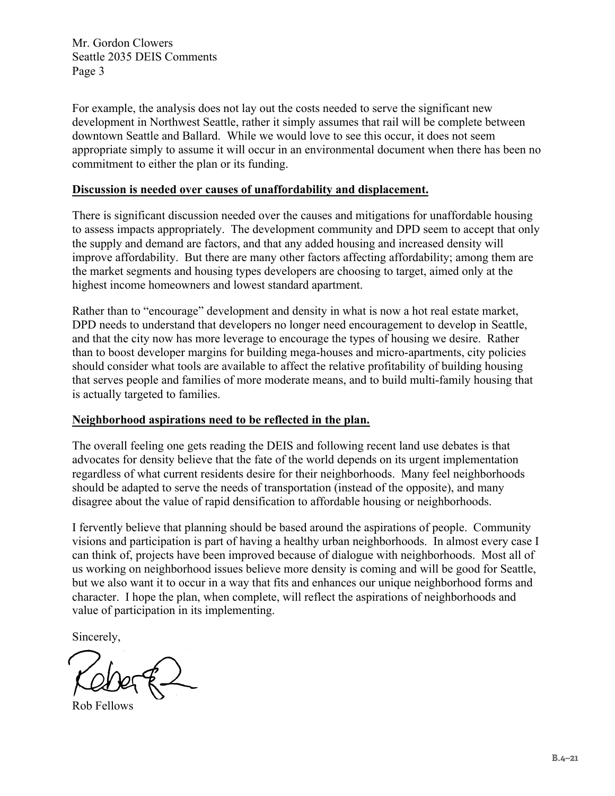Mr. Gordon Clowers Seattle 2035 DEIS Comments Page 3

For example, the analysis does not lay out the costs needed to serve the significant new development in Northwest Seattle, rather it simply assumes that rail will be complete between downtown Seattle and Ballard. While we would love to see this occur, it does not seem appropriate simply to assume it will occur in an environmental document when there has been no commitment to either the plan or its funding.

## **Discussion is needed over causes of unaffordability and displacement.**

There is significant discussion needed over the causes and mitigations for unaffordable housing to assess impacts appropriately. The development community and DPD seem to accept that only the supply and demand are factors, and that any added housing and increased density will improve affordability. But there are many other factors affecting affordability; among them are the market segments and housing types developers are choosing to target, aimed only at the highest income homeowners and lowest standard apartment.

Rather than to "encourage" development and density in what is now a hot real estate market, DPD needs to understand that developers no longer need encouragement to develop in Seattle, and that the city now has more leverage to encourage the types of housing we desire. Rather than to boost developer margins for building mega-houses and micro-apartments, city policies should consider what tools are available to affect the relative profitability of building housing that serves people and families of more moderate means, and to build multi-family housing that is actually targeted to families.

## **Neighborhood aspirations need to be reflected in the plan.**

The overall feeling one gets reading the DEIS and following recent land use debates is that advocates for density believe that the fate of the world depends on its urgent implementation regardless of what current residents desire for their neighborhoods. Many feel neighborhoods should be adapted to serve the needs of transportation (instead of the opposite), and many disagree about the value of rapid densification to affordable housing or neighborhoods.

I fervently believe that planning should be based around the aspirations of people. Community visions and participation is part of having a healthy urban neighborhoods. In almost every case I can think of, projects have been improved because of dialogue with neighborhoods. Most all of us working on neighborhood issues believe more density is coming and will be good for Seattle, but we also want it to occur in a way that fits and enhances our unique neighborhood forms and character. I hope the plan, when complete, will reflect the aspirations of neighborhoods and value of participation in its implementing.

Sincerely,

Rob Fellows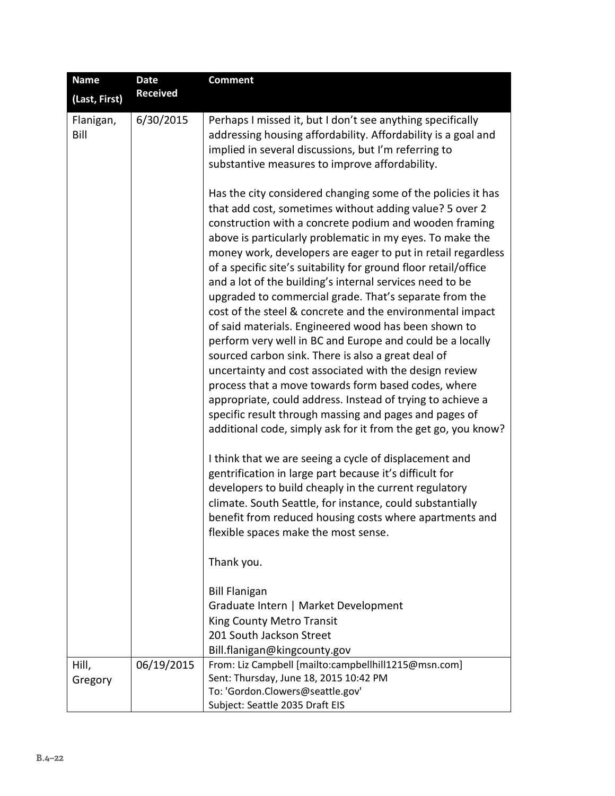| <b>Name</b>       | <b>Date</b>     | <b>Comment</b>                                                                                                                                                                                                                                                                                                                                                                                                                                                                                                                                                                                                                                                                                                                                                                                                                                                                                                                                                                                                                                                                                                                                                                                                                                                                                                                                                                                                                                                                                                                                 |
|-------------------|-----------------|------------------------------------------------------------------------------------------------------------------------------------------------------------------------------------------------------------------------------------------------------------------------------------------------------------------------------------------------------------------------------------------------------------------------------------------------------------------------------------------------------------------------------------------------------------------------------------------------------------------------------------------------------------------------------------------------------------------------------------------------------------------------------------------------------------------------------------------------------------------------------------------------------------------------------------------------------------------------------------------------------------------------------------------------------------------------------------------------------------------------------------------------------------------------------------------------------------------------------------------------------------------------------------------------------------------------------------------------------------------------------------------------------------------------------------------------------------------------------------------------------------------------------------------------|
| (Last, First)     | <b>Received</b> |                                                                                                                                                                                                                                                                                                                                                                                                                                                                                                                                                                                                                                                                                                                                                                                                                                                                                                                                                                                                                                                                                                                                                                                                                                                                                                                                                                                                                                                                                                                                                |
| Flanigan,<br>Bill | 6/30/2015       | Perhaps I missed it, but I don't see anything specifically<br>addressing housing affordability. Affordability is a goal and<br>implied in several discussions, but I'm referring to<br>substantive measures to improve affordability.                                                                                                                                                                                                                                                                                                                                                                                                                                                                                                                                                                                                                                                                                                                                                                                                                                                                                                                                                                                                                                                                                                                                                                                                                                                                                                          |
|                   |                 | Has the city considered changing some of the policies it has<br>that add cost, sometimes without adding value? 5 over 2<br>construction with a concrete podium and wooden framing<br>above is particularly problematic in my eyes. To make the<br>money work, developers are eager to put in retail regardless<br>of a specific site's suitability for ground floor retail/office<br>and a lot of the building's internal services need to be<br>upgraded to commercial grade. That's separate from the<br>cost of the steel & concrete and the environmental impact<br>of said materials. Engineered wood has been shown to<br>perform very well in BC and Europe and could be a locally<br>sourced carbon sink. There is also a great deal of<br>uncertainty and cost associated with the design review<br>process that a move towards form based codes, where<br>appropriate, could address. Instead of trying to achieve a<br>specific result through massing and pages and pages of<br>additional code, simply ask for it from the get go, you know?<br>I think that we are seeing a cycle of displacement and<br>gentrification in large part because it's difficult for<br>developers to build cheaply in the current regulatory<br>climate. South Seattle, for instance, could substantially<br>benefit from reduced housing costs where apartments and<br>flexible spaces make the most sense.<br>Thank you.<br><b>Bill Flanigan</b><br>Graduate Intern   Market Development<br>King County Metro Transit<br>201 South Jackson Street |
|                   |                 | Bill.flanigan@kingcounty.gov                                                                                                                                                                                                                                                                                                                                                                                                                                                                                                                                                                                                                                                                                                                                                                                                                                                                                                                                                                                                                                                                                                                                                                                                                                                                                                                                                                                                                                                                                                                   |
| Hill,             | 06/19/2015      | From: Liz Campbell [mailto:campbellhill1215@msn.com]<br>Sent: Thursday, June 18, 2015 10:42 PM                                                                                                                                                                                                                                                                                                                                                                                                                                                                                                                                                                                                                                                                                                                                                                                                                                                                                                                                                                                                                                                                                                                                                                                                                                                                                                                                                                                                                                                 |
| Gregory           |                 | To: 'Gordon.Clowers@seattle.gov'                                                                                                                                                                                                                                                                                                                                                                                                                                                                                                                                                                                                                                                                                                                                                                                                                                                                                                                                                                                                                                                                                                                                                                                                                                                                                                                                                                                                                                                                                                               |
|                   |                 | Subject: Seattle 2035 Draft EIS                                                                                                                                                                                                                                                                                                                                                                                                                                                                                                                                                                                                                                                                                                                                                                                                                                                                                                                                                                                                                                                                                                                                                                                                                                                                                                                                                                                                                                                                                                                |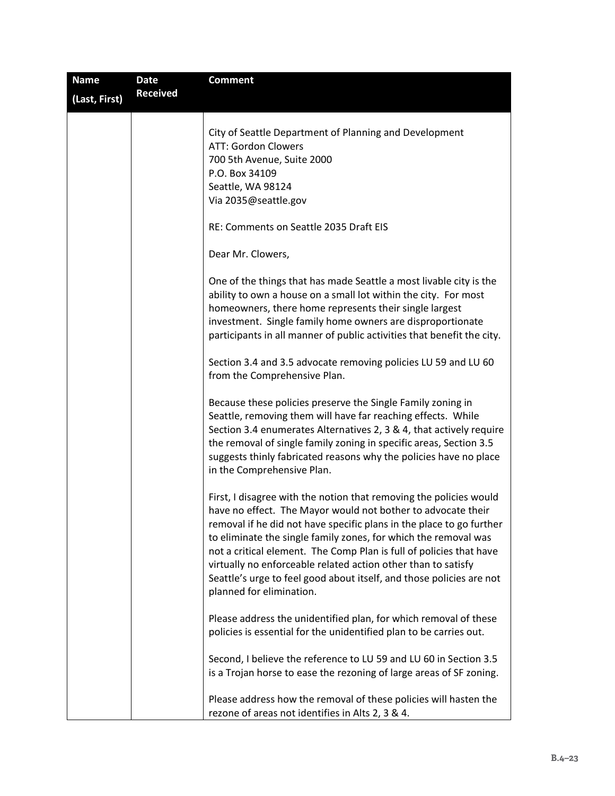| <b>Name</b>   | Date            | <b>Comment</b>                                                                                                                                                                                                                                                                                                                                                                                                                                                                                                            |
|---------------|-----------------|---------------------------------------------------------------------------------------------------------------------------------------------------------------------------------------------------------------------------------------------------------------------------------------------------------------------------------------------------------------------------------------------------------------------------------------------------------------------------------------------------------------------------|
| (Last, First) | <b>Received</b> |                                                                                                                                                                                                                                                                                                                                                                                                                                                                                                                           |
|               |                 | City of Seattle Department of Planning and Development<br>ATT: Gordon Clowers<br>700 5th Avenue, Suite 2000<br>P.O. Box 34109<br>Seattle, WA 98124                                                                                                                                                                                                                                                                                                                                                                        |
|               |                 | Via 2035@seattle.gov                                                                                                                                                                                                                                                                                                                                                                                                                                                                                                      |
|               |                 | RE: Comments on Seattle 2035 Draft EIS                                                                                                                                                                                                                                                                                                                                                                                                                                                                                    |
|               |                 | Dear Mr. Clowers,                                                                                                                                                                                                                                                                                                                                                                                                                                                                                                         |
|               |                 | One of the things that has made Seattle a most livable city is the<br>ability to own a house on a small lot within the city. For most<br>homeowners, there home represents their single largest<br>investment. Single family home owners are disproportionate<br>participants in all manner of public activities that benefit the city.                                                                                                                                                                                   |
|               |                 | Section 3.4 and 3.5 advocate removing policies LU 59 and LU 60<br>from the Comprehensive Plan.                                                                                                                                                                                                                                                                                                                                                                                                                            |
|               |                 | Because these policies preserve the Single Family zoning in<br>Seattle, removing them will have far reaching effects. While<br>Section 3.4 enumerates Alternatives 2, 3 & 4, that actively require<br>the removal of single family zoning in specific areas, Section 3.5<br>suggests thinly fabricated reasons why the policies have no place<br>in the Comprehensive Plan.                                                                                                                                               |
|               |                 | First, I disagree with the notion that removing the policies would<br>have no effect. The Mayor would not bother to advocate their<br>removal if he did not have specific plans in the place to go further<br>to eliminate the single family zones, for which the removal was<br>not a critical element. The Comp Plan is full of policies that have<br>virtually no enforceable related action other than to satisfy<br>Seattle's urge to feel good about itself, and those policies are not<br>planned for elimination. |
|               |                 | Please address the unidentified plan, for which removal of these<br>policies is essential for the unidentified plan to be carries out.                                                                                                                                                                                                                                                                                                                                                                                    |
|               |                 | Second, I believe the reference to LU 59 and LU 60 in Section 3.5<br>is a Trojan horse to ease the rezoning of large areas of SF zoning.                                                                                                                                                                                                                                                                                                                                                                                  |
|               |                 | Please address how the removal of these policies will hasten the<br>rezone of areas not identifies in Alts 2, 3 & 4.                                                                                                                                                                                                                                                                                                                                                                                                      |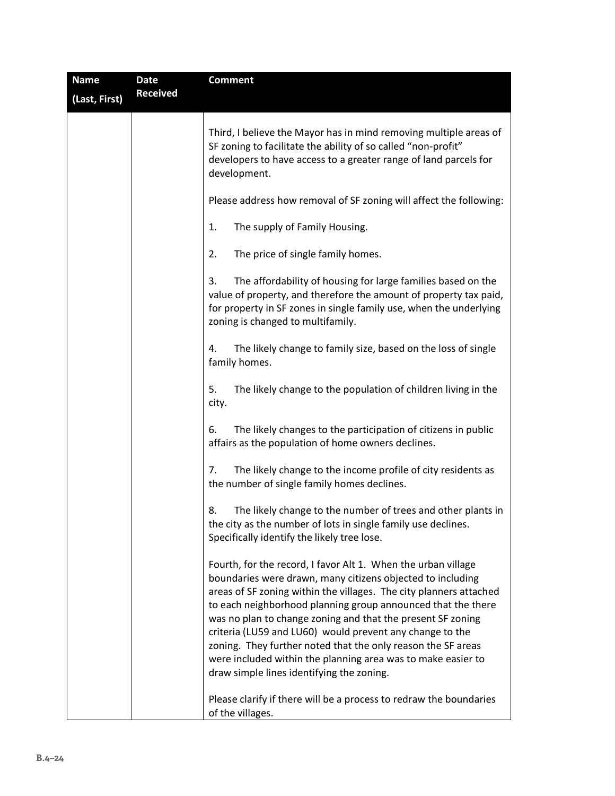| <b>Name</b>   | <b>Date</b>     | <b>Comment</b>                                                                                                                                                                                                                                                                                                                                                                                                                                                                                                                                                            |
|---------------|-----------------|---------------------------------------------------------------------------------------------------------------------------------------------------------------------------------------------------------------------------------------------------------------------------------------------------------------------------------------------------------------------------------------------------------------------------------------------------------------------------------------------------------------------------------------------------------------------------|
| (Last, First) | <b>Received</b> |                                                                                                                                                                                                                                                                                                                                                                                                                                                                                                                                                                           |
|               |                 | Third, I believe the Mayor has in mind removing multiple areas of<br>SF zoning to facilitate the ability of so called "non-profit"<br>developers to have access to a greater range of land parcels for<br>development.                                                                                                                                                                                                                                                                                                                                                    |
|               |                 | Please address how removal of SF zoning will affect the following:                                                                                                                                                                                                                                                                                                                                                                                                                                                                                                        |
|               |                 | The supply of Family Housing.<br>1.                                                                                                                                                                                                                                                                                                                                                                                                                                                                                                                                       |
|               |                 | 2.<br>The price of single family homes.                                                                                                                                                                                                                                                                                                                                                                                                                                                                                                                                   |
|               |                 | The affordability of housing for large families based on the<br>3.<br>value of property, and therefore the amount of property tax paid,<br>for property in SF zones in single family use, when the underlying<br>zoning is changed to multifamily.                                                                                                                                                                                                                                                                                                                        |
|               |                 | The likely change to family size, based on the loss of single<br>4.<br>family homes.                                                                                                                                                                                                                                                                                                                                                                                                                                                                                      |
|               |                 | 5.<br>The likely change to the population of children living in the<br>city.                                                                                                                                                                                                                                                                                                                                                                                                                                                                                              |
|               |                 | The likely changes to the participation of citizens in public<br>6.<br>affairs as the population of home owners declines.                                                                                                                                                                                                                                                                                                                                                                                                                                                 |
|               |                 | 7.<br>The likely change to the income profile of city residents as<br>the number of single family homes declines.                                                                                                                                                                                                                                                                                                                                                                                                                                                         |
|               |                 | The likely change to the number of trees and other plants in<br>8.<br>the city as the number of lots in single family use declines.<br>Specifically identify the likely tree lose.                                                                                                                                                                                                                                                                                                                                                                                        |
|               |                 | Fourth, for the record, I favor Alt 1. When the urban village<br>boundaries were drawn, many citizens objected to including<br>areas of SF zoning within the villages. The city planners attached<br>to each neighborhood planning group announced that the there<br>was no plan to change zoning and that the present SF zoning<br>criteria (LU59 and LU60) would prevent any change to the<br>zoning. They further noted that the only reason the SF areas<br>were included within the planning area was to make easier to<br>draw simple lines identifying the zoning. |
|               |                 | Please clarify if there will be a process to redraw the boundaries<br>of the villages.                                                                                                                                                                                                                                                                                                                                                                                                                                                                                    |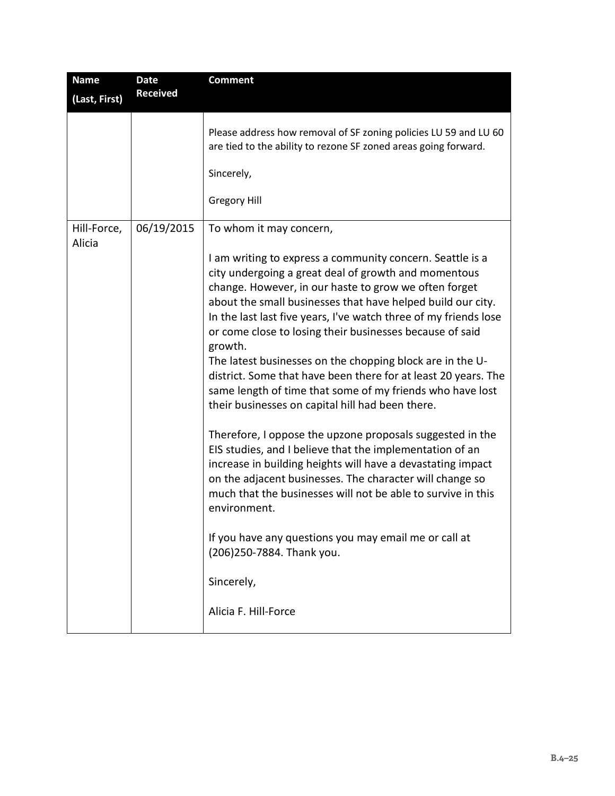| <b>Name</b><br><b>Date</b>          | <b>Comment</b>                                                                                                                                                                                                                                                                                                                                                                                                                                                                                                                                                                                                                                                                                                                                                                                                                                                                                                                                                                                                                                                                                       |
|-------------------------------------|------------------------------------------------------------------------------------------------------------------------------------------------------------------------------------------------------------------------------------------------------------------------------------------------------------------------------------------------------------------------------------------------------------------------------------------------------------------------------------------------------------------------------------------------------------------------------------------------------------------------------------------------------------------------------------------------------------------------------------------------------------------------------------------------------------------------------------------------------------------------------------------------------------------------------------------------------------------------------------------------------------------------------------------------------------------------------------------------------|
| <b>Received</b><br>(Last, First)    |                                                                                                                                                                                                                                                                                                                                                                                                                                                                                                                                                                                                                                                                                                                                                                                                                                                                                                                                                                                                                                                                                                      |
|                                     | Please address how removal of SF zoning policies LU 59 and LU 60<br>are tied to the ability to rezone SF zoned areas going forward.<br>Sincerely,<br><b>Gregory Hill</b>                                                                                                                                                                                                                                                                                                                                                                                                                                                                                                                                                                                                                                                                                                                                                                                                                                                                                                                             |
| 06/19/2015<br>Hill-Force,<br>Alicia | To whom it may concern,                                                                                                                                                                                                                                                                                                                                                                                                                                                                                                                                                                                                                                                                                                                                                                                                                                                                                                                                                                                                                                                                              |
|                                     | I am writing to express a community concern. Seattle is a<br>city undergoing a great deal of growth and momentous<br>change. However, in our haste to grow we often forget<br>about the small businesses that have helped build our city.<br>In the last last five years, I've watch three of my friends lose<br>or come close to losing their businesses because of said<br>growth.<br>The latest businesses on the chopping block are in the U-<br>district. Some that have been there for at least 20 years. The<br>same length of time that some of my friends who have lost<br>their businesses on capital hill had been there.<br>Therefore, I oppose the upzone proposals suggested in the<br>EIS studies, and I believe that the implementation of an<br>increase in building heights will have a devastating impact<br>on the adjacent businesses. The character will change so<br>much that the businesses will not be able to survive in this<br>environment.<br>If you have any questions you may email me or call at<br>(206)250-7884. Thank you.<br>Sincerely,<br>Alicia F. Hill-Force |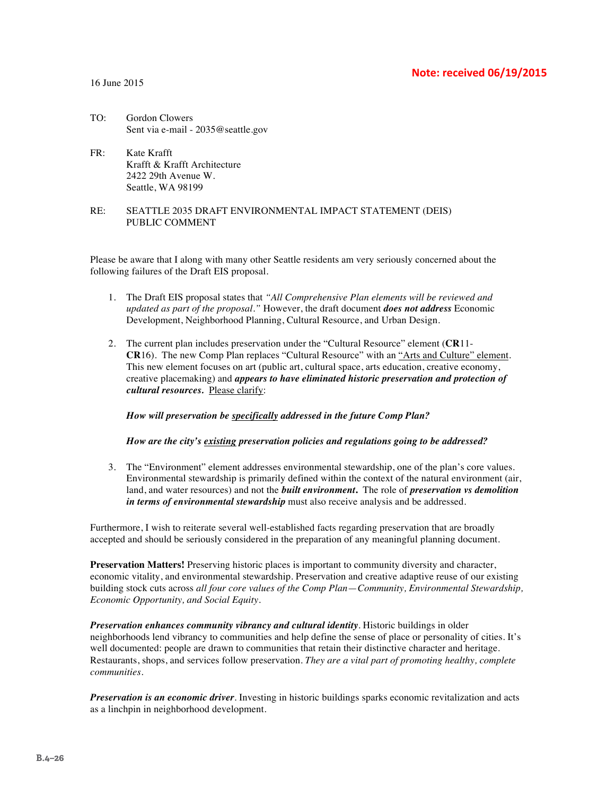#### **Note: received 06/19/2015**

#### 16 June 2015

- TO: Gordon Clowers Sent via e-mail - 2035@seattle.gov
- FR: Kate Krafft Krafft & Krafft Architecture 2422 29th Avenue W. Seattle, WA 98199

#### RE: SEATTLE 2035 DRAFT ENVIRONMENTAL IMPACT STATEMENT (DEIS) PUBLIC COMMENT

Please be aware that I along with many other Seattle residents am very seriously concerned about the following failures of the Draft EIS proposal.

- 1. The Draft EIS proposal states that *"All Comprehensive Plan elements will be reviewed and updated as part of the proposal."* However, the draft document *does not address* Economic Development, Neighborhood Planning, Cultural Resource, and Urban Design.
- 2. The current plan includes preservation under the "Cultural Resource" element (**CR**11- **CR**16). The new Comp Plan replaces "Cultural Resource" with an "Arts and Culture" element. This new element focuses on art (public art, cultural space, arts education, creative economy, creative placemaking) and *appears to have eliminated historic preservation and protection of cultural resources.* Please clarify:

*How will preservation be specifically addressed in the future Comp Plan?*

*How are the city's existing preservation policies and regulations going to be addressed?*

3. The "Environment" element addresses environmental stewardship, one of the plan's core values. Environmental stewardship is primarily defined within the context of the natural environment (air, land, and water resources) and not the *built environment***.** The role of *preservation vs demolition in terms of environmental stewardship* must also receive analysis and be addressed.

Furthermore, I wish to reiterate several well-established facts regarding preservation that are broadly accepted and should be seriously considered in the preparation of any meaningful planning document.

**Preservation Matters!** Preserving historic places is important to community diversity and character, economic vitality, and environmental stewardship. Preservation and creative adaptive reuse of our existing building stock cuts across *all four core values of the Comp Plan*—*Community, Environmental Stewardship, Economic Opportunity, and Social Equity*.

*Preservation enhances community vibrancy and cultural identity*. Historic buildings in older neighborhoods lend vibrancy to communities and help define the sense of place or personality of cities. It's well documented: people are drawn to communities that retain their distinctive character and heritage. Restaurants, shops, and services follow preservation. *They are a vital part of promoting healthy, complete communities*.

*Preservation is an economic driver*. Investing in historic buildings sparks economic revitalization and acts as a linchpin in neighborhood development.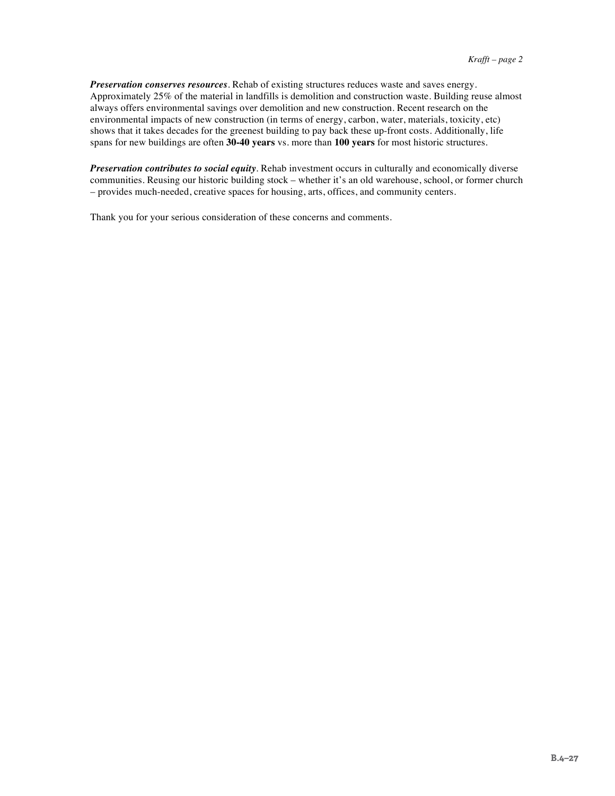*Preservation conserves resources*. Rehab of existing structures reduces waste and saves energy. Approximately 25% of the material in landfills is demolition and construction waste. Building reuse almost always offers environmental savings over demolition and new construction. Recent research on the environmental impacts of new construction (in terms of energy, carbon, water, materials, toxicity, etc) shows that it takes decades for the greenest building to pay back these up-front costs. Additionally, life spans for new buildings are often **30-40 years** vs. more than **100 years** for most historic structures.

*Preservation contributes to social equity*. Rehab investment occurs in culturally and economically diverse communities. Reusing our historic building stock – whether it's an old warehouse, school, or former church – provides much-needed, creative spaces for housing, arts, offices, and community centers.

Thank you for your serious consideration of these concerns and comments.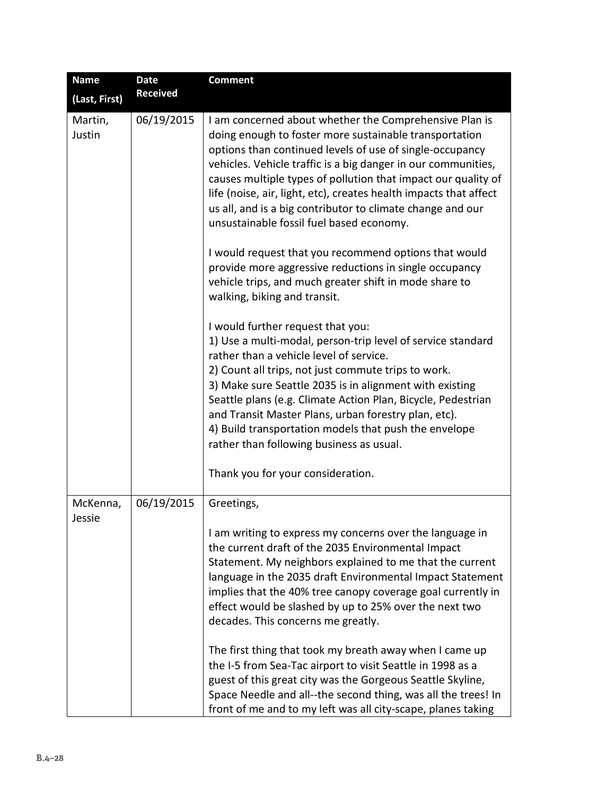| <b>Name</b>        | <b>Date</b>     | <b>Comment</b>                                                                                                                                                                                                                                                                                                                                                                                                                                                                                                                                                                                                                                                                                                                                                                                                                                                                                                                                                                                                                                                                                                                                                                                           |
|--------------------|-----------------|----------------------------------------------------------------------------------------------------------------------------------------------------------------------------------------------------------------------------------------------------------------------------------------------------------------------------------------------------------------------------------------------------------------------------------------------------------------------------------------------------------------------------------------------------------------------------------------------------------------------------------------------------------------------------------------------------------------------------------------------------------------------------------------------------------------------------------------------------------------------------------------------------------------------------------------------------------------------------------------------------------------------------------------------------------------------------------------------------------------------------------------------------------------------------------------------------------|
| (Last, First)      | <b>Received</b> |                                                                                                                                                                                                                                                                                                                                                                                                                                                                                                                                                                                                                                                                                                                                                                                                                                                                                                                                                                                                                                                                                                                                                                                                          |
| Martin,<br>Justin  | 06/19/2015      | I am concerned about whether the Comprehensive Plan is<br>doing enough to foster more sustainable transportation<br>options than continued levels of use of single-occupancy<br>vehicles. Vehicle traffic is a big danger in our communities,<br>causes multiple types of pollution that impact our quality of<br>life (noise, air, light, etc), creates health impacts that affect<br>us all, and is a big contributor to climate change and our<br>unsustainable fossil fuel based economy.<br>I would request that you recommend options that would<br>provide more aggressive reductions in single occupancy<br>vehicle trips, and much greater shift in mode share to<br>walking, biking and transit.<br>I would further request that you:<br>1) Use a multi-modal, person-trip level of service standard<br>rather than a vehicle level of service.<br>2) Count all trips, not just commute trips to work.<br>3) Make sure Seattle 2035 is in alignment with existing<br>Seattle plans (e.g. Climate Action Plan, Bicycle, Pedestrian<br>and Transit Master Plans, urban forestry plan, etc).<br>4) Build transportation models that push the envelope<br>rather than following business as usual. |
|                    |                 | Thank you for your consideration.                                                                                                                                                                                                                                                                                                                                                                                                                                                                                                                                                                                                                                                                                                                                                                                                                                                                                                                                                                                                                                                                                                                                                                        |
| McKenna,<br>Jessie | 06/19/2015      | Greetings,<br>I am writing to express my concerns over the language in<br>the current draft of the 2035 Environmental Impact<br>Statement. My neighbors explained to me that the current<br>language in the 2035 draft Environmental Impact Statement<br>implies that the 40% tree canopy coverage goal currently in<br>effect would be slashed by up to 25% over the next two<br>decades. This concerns me greatly.<br>The first thing that took my breath away when I came up<br>the I-5 from Sea-Tac airport to visit Seattle in 1998 as a<br>guest of this great city was the Gorgeous Seattle Skyline,<br>Space Needle and all--the second thing, was all the trees! In<br>front of me and to my left was all city-scape, planes taking                                                                                                                                                                                                                                                                                                                                                                                                                                                             |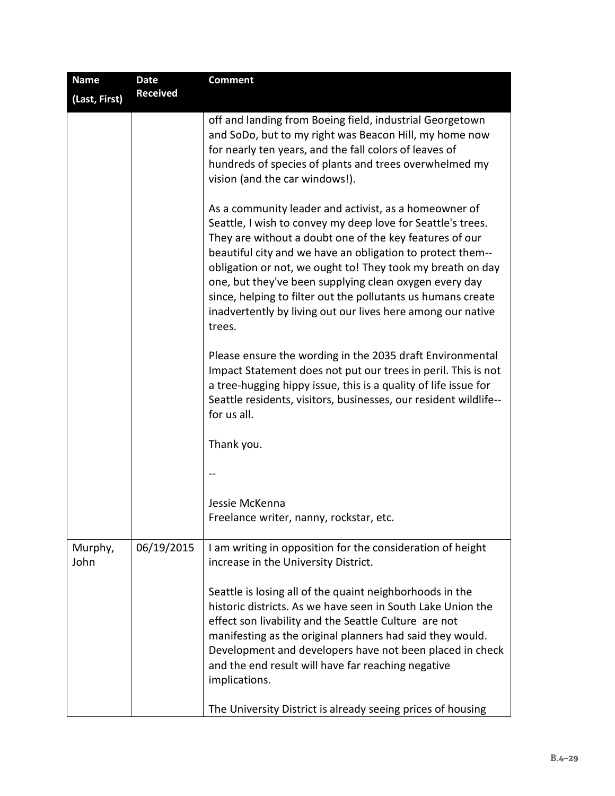| <b>Name</b>     | <b>Date</b>     | <b>Comment</b>                                                                                                                                                                                                                                                                                                                                                                                                                                                                                                 |
|-----------------|-----------------|----------------------------------------------------------------------------------------------------------------------------------------------------------------------------------------------------------------------------------------------------------------------------------------------------------------------------------------------------------------------------------------------------------------------------------------------------------------------------------------------------------------|
| (Last, First)   | <b>Received</b> |                                                                                                                                                                                                                                                                                                                                                                                                                                                                                                                |
|                 |                 | off and landing from Boeing field, industrial Georgetown<br>and SoDo, but to my right was Beacon Hill, my home now<br>for nearly ten years, and the fall colors of leaves of<br>hundreds of species of plants and trees overwhelmed my<br>vision (and the car windows!).                                                                                                                                                                                                                                       |
|                 |                 | As a community leader and activist, as a homeowner of<br>Seattle, I wish to convey my deep love for Seattle's trees.<br>They are without a doubt one of the key features of our<br>beautiful city and we have an obligation to protect them--<br>obligation or not, we ought to! They took my breath on day<br>one, but they've been supplying clean oxygen every day<br>since, helping to filter out the pollutants us humans create<br>inadvertently by living out our lives here among our native<br>trees. |
|                 |                 | Please ensure the wording in the 2035 draft Environmental<br>Impact Statement does not put our trees in peril. This is not<br>a tree-hugging hippy issue, this is a quality of life issue for<br>Seattle residents, visitors, businesses, our resident wildlife--<br>for us all.                                                                                                                                                                                                                               |
|                 |                 | Thank you.                                                                                                                                                                                                                                                                                                                                                                                                                                                                                                     |
|                 |                 |                                                                                                                                                                                                                                                                                                                                                                                                                                                                                                                |
|                 |                 | Jessie McKenna<br>Freelance writer, nanny, rockstar, etc.                                                                                                                                                                                                                                                                                                                                                                                                                                                      |
| Murphy,<br>John | 06/19/2015      | I am writing in opposition for the consideration of height<br>increase in the University District.                                                                                                                                                                                                                                                                                                                                                                                                             |
|                 |                 | Seattle is losing all of the quaint neighborhoods in the<br>historic districts. As we have seen in South Lake Union the<br>effect son livability and the Seattle Culture are not<br>manifesting as the original planners had said they would.<br>Development and developers have not been placed in check<br>and the end result will have far reaching negative<br>implications.                                                                                                                               |
|                 |                 | The University District is already seeing prices of housing                                                                                                                                                                                                                                                                                                                                                                                                                                                    |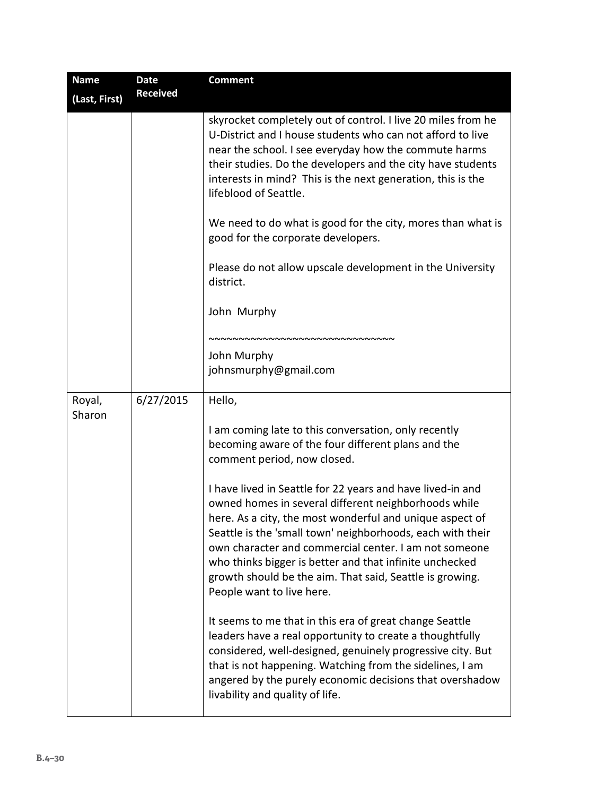| <b>Name</b>      | <b>Date</b>     | <b>Comment</b>                                                                                                                                                                                                                                                                                                                                                                                                                                            |
|------------------|-----------------|-----------------------------------------------------------------------------------------------------------------------------------------------------------------------------------------------------------------------------------------------------------------------------------------------------------------------------------------------------------------------------------------------------------------------------------------------------------|
| (Last, First)    | <b>Received</b> |                                                                                                                                                                                                                                                                                                                                                                                                                                                           |
|                  |                 | skyrocket completely out of control. I live 20 miles from he<br>U-District and I house students who can not afford to live<br>near the school. I see everyday how the commute harms<br>their studies. Do the developers and the city have students<br>interests in mind? This is the next generation, this is the<br>lifeblood of Seattle.                                                                                                                |
|                  |                 | We need to do what is good for the city, mores than what is<br>good for the corporate developers.                                                                                                                                                                                                                                                                                                                                                         |
|                  |                 | Please do not allow upscale development in the University<br>district.                                                                                                                                                                                                                                                                                                                                                                                    |
|                  |                 | John Murphy                                                                                                                                                                                                                                                                                                                                                                                                                                               |
|                  |                 | ,,,,,,,,,,,,,,,,,,,,,,,,,,,,,,,,,,                                                                                                                                                                                                                                                                                                                                                                                                                        |
|                  |                 | John Murphy                                                                                                                                                                                                                                                                                                                                                                                                                                               |
|                  |                 | johnsmurphy@gmail.com                                                                                                                                                                                                                                                                                                                                                                                                                                     |
| Royal,<br>Sharon | 6/27/2015       | Hello,                                                                                                                                                                                                                                                                                                                                                                                                                                                    |
|                  |                 | I am coming late to this conversation, only recently<br>becoming aware of the four different plans and the<br>comment period, now closed.                                                                                                                                                                                                                                                                                                                 |
|                  |                 | I have lived in Seattle for 22 years and have lived-in and<br>owned homes in several different neighborhoods while<br>here. As a city, the most wonderful and unique aspect of<br>Seattle is the 'small town' neighborhoods, each with their<br>own character and commercial center. I am not someone<br>who thinks bigger is better and that infinite unchecked<br>growth should be the aim. That said, Seattle is growing.<br>People want to live here. |
|                  |                 | It seems to me that in this era of great change Seattle<br>leaders have a real opportunity to create a thoughtfully<br>considered, well-designed, genuinely progressive city. But<br>that is not happening. Watching from the sidelines, I am<br>angered by the purely economic decisions that overshadow<br>livability and quality of life.                                                                                                              |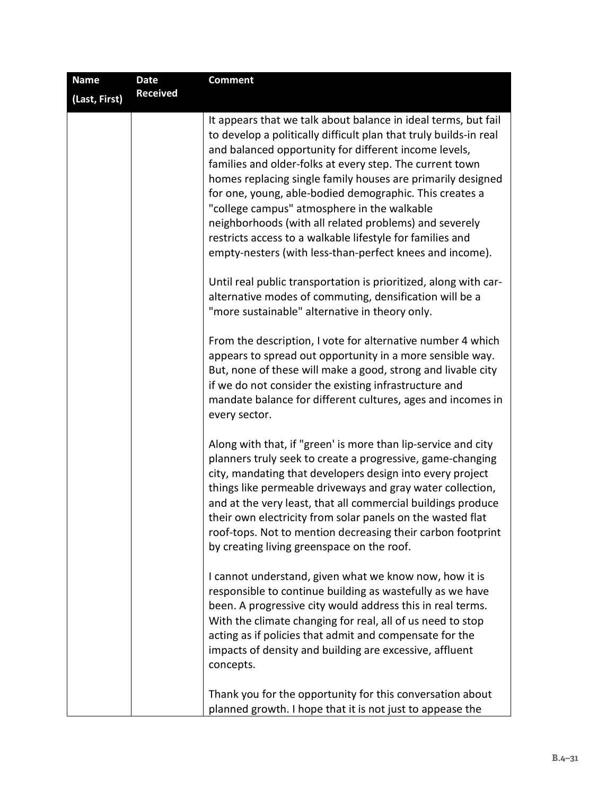| <b>Name</b>   | Date            | <b>Comment</b>                                                                                                                                                                                                                                                                                                                                                                                                                                                                                                                                                                                                       |
|---------------|-----------------|----------------------------------------------------------------------------------------------------------------------------------------------------------------------------------------------------------------------------------------------------------------------------------------------------------------------------------------------------------------------------------------------------------------------------------------------------------------------------------------------------------------------------------------------------------------------------------------------------------------------|
| (Last, First) | <b>Received</b> |                                                                                                                                                                                                                                                                                                                                                                                                                                                                                                                                                                                                                      |
|               |                 | It appears that we talk about balance in ideal terms, but fail<br>to develop a politically difficult plan that truly builds-in real<br>and balanced opportunity for different income levels,<br>families and older-folks at every step. The current town<br>homes replacing single family houses are primarily designed<br>for one, young, able-bodied demographic. This creates a<br>"college campus" atmosphere in the walkable<br>neighborhoods (with all related problems) and severely<br>restricts access to a walkable lifestyle for families and<br>empty-nesters (with less-than-perfect knees and income). |
|               |                 | Until real public transportation is prioritized, along with car-<br>alternative modes of commuting, densification will be a<br>"more sustainable" alternative in theory only.                                                                                                                                                                                                                                                                                                                                                                                                                                        |
|               |                 | From the description, I vote for alternative number 4 which<br>appears to spread out opportunity in a more sensible way.<br>But, none of these will make a good, strong and livable city<br>if we do not consider the existing infrastructure and<br>mandate balance for different cultures, ages and incomes in<br>every sector.                                                                                                                                                                                                                                                                                    |
|               |                 | Along with that, if "green' is more than lip-service and city<br>planners truly seek to create a progressive, game-changing<br>city, mandating that developers design into every project<br>things like permeable driveways and gray water collection,<br>and at the very least, that all commercial buildings produce<br>their own electricity from solar panels on the wasted flat<br>roof-tops. Not to mention decreasing their carbon footprint<br>by creating living greenspace on the roof.                                                                                                                    |
|               |                 | I cannot understand, given what we know now, how it is<br>responsible to continue building as wastefully as we have<br>been. A progressive city would address this in real terms.<br>With the climate changing for real, all of us need to stop<br>acting as if policies that admit and compensate for the<br>impacts of density and building are excessive, affluent<br>concepts.                                                                                                                                                                                                                                   |
|               |                 | Thank you for the opportunity for this conversation about<br>planned growth. I hope that it is not just to appease the                                                                                                                                                                                                                                                                                                                                                                                                                                                                                               |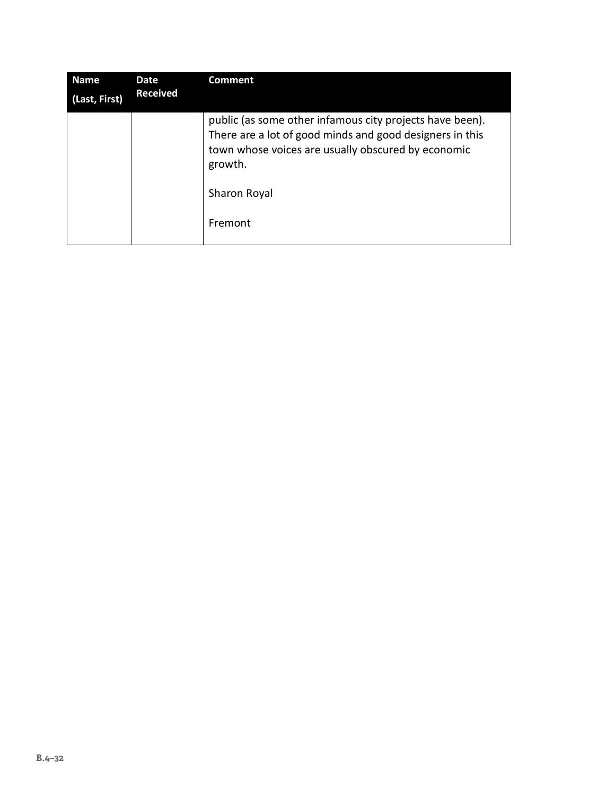| <b>Name</b>   | <b>Date</b>     | <b>Comment</b>                                                                                                                                                                                        |
|---------------|-----------------|-------------------------------------------------------------------------------------------------------------------------------------------------------------------------------------------------------|
| (Last, First) | <b>Received</b> |                                                                                                                                                                                                       |
|               |                 | public (as some other infamous city projects have been).<br>There are a lot of good minds and good designers in this<br>town whose voices are usually obscured by economic<br>growth.<br>Sharon Royal |
|               |                 | Fremont                                                                                                                                                                                               |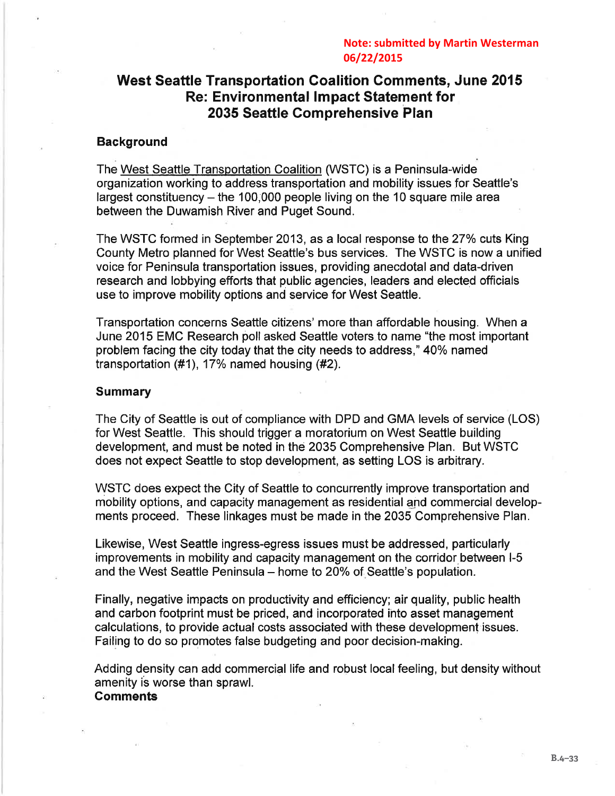#### **Note: submitted by Martin Westerman** 06/22/2015

## **West Seattle Transportation Coalition Comments, June 2015 Re: Environmental Impact Statement for** 2035 Seattle Comprehensive Plan

#### **Background**

The West Seattle Transportation Coalition (WSTC) is a Peninsula-wide organization working to address transportation and mobility issues for Seattle's largest constituency  $-$  the 100,000 people living on the 10 square mile area between the Duwamish River and Puget Sound.

The WSTC formed in September 2013, as a local response to the 27% cuts King County Metro planned for West Seattle's bus services. The WSTC is now a unified voice for Peninsula transportation issues, providing anecdotal and data-driven research and lobbying efforts that public agencies, leaders and elected officials use to improve mobility options and service for West Seattle.

Transportation concerns Seattle citizens' more than affordable housing. When a June 2015 EMC Research poll asked Seattle voters to name "the most important" problem facing the city today that the city needs to address," 40% named transportation  $(\#1)$ , 17% named housing  $(\#2)$ .

#### **Summary**

The City of Seattle is out of compliance with DPD and GMA levels of service (LOS) for West Seattle. This should trigger a moratorium on West Seattle building development, and must be noted in the 2035 Comprehensive Plan. But WSTC does not expect Seattle to stop development, as setting LOS is arbitrary.

WSTC does expect the City of Seattle to concurrently improve transportation and mobility options, and capacity management as residential and commercial developments proceed. These linkages must be made in the 2035 Comprehensive Plan.

Likewise, West Seattle ingress-egress issues must be addressed, particularly improvements in mobility and capacity management on the corridor between I-5 and the West Seattle Peninsula – home to 20% of Seattle's population.

Finally, negative impacts on productivity and efficiency; air quality, public health and carbon footprint must be priced, and incorporated into asset management calculations, to provide actual costs associated with these development issues. Failing to do so promotes false budgeting and poor decision-making.

Adding density can add commercial life and robust local feeling, but density without amenity is worse than sprawl. **Comments**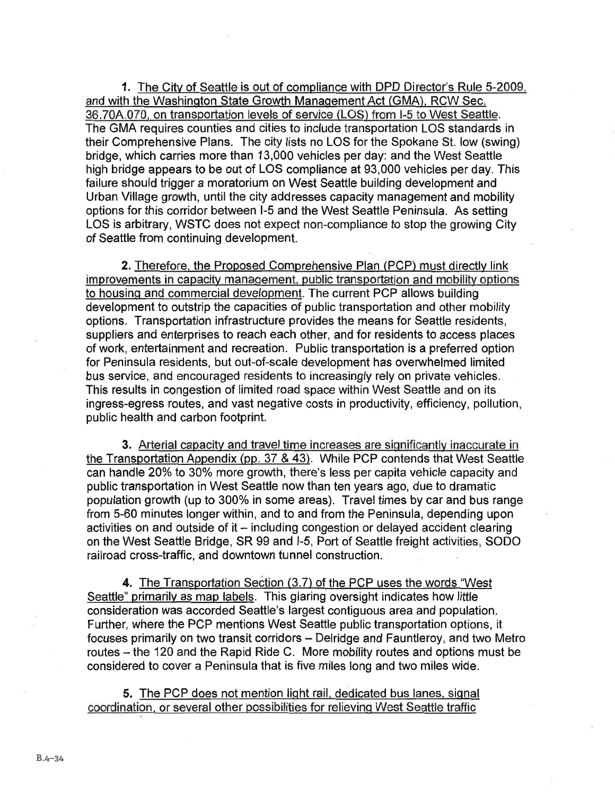1. The City of Seattle is out of compliance with DPD Director's Rule 5-2009. and with the Washington State Growth Management Act (GMA), RCW Sec. 36.70A.070, on transportation levels of service (LOS) from I-5 to West Seattle. The GMA requires counties and cities to include transportation LOS standards in their Comprehensive Plans. The city lists no LOS for the Spokane St. low (swing) bridge, which carries more than 13,000 vehicles per day: and the West Seattle high bridge appears to be out of LOS compliance at 93,000 vehicles per day. This failure should trigger a moratorium on West Seattle building development and Urban Village growth, until the city addresses capacity management and mobility options for this corridor between I-5 and the West Seattle Peninsula. As setting LOS is arbitrary. WSTC does not expect non-compliance to stop the growing City of Seattle from continuing development.

2. Therefore, the Proposed Comprehensive Plan (PCP) must directly link improvements in capacity management, public transportation and mobility options to housing and commercial development. The current PCP allows building development to outstrip the capacities of public transportation and other mobility options. Transportation infrastructure provides the means for Seattle residents, suppliers and enterprises to reach each other, and for residents to access places of work, entertainment and recreation. Public transportation is a preferred option for Peninsula residents, but out-of-scale development has overwhelmed limited bus service, and encouraged residents to increasingly rely on private vehicles. This results in congestion of limited road space within West Seattle and on its ingress-egress routes, and vast negative costs in productivity, efficiency, pollution, public health and carbon footprint.

3. Arterial capacity and travel time increases are significantly inaccurate in the Transportation Appendix (pp. 37 & 43). While PCP contends that West Seattle can handle 20% to 30% more growth, there's less per capita vehicle capacity and public transportation in West Seattle now than ten years ago, due to dramatic population growth (up to 300% in some areas). Travel times by car and bus range from 5-60 minutes longer within, and to and from the Peninsula, depending upon activities on and outside of it - including congestion or delayed accident clearing on the West Seattle Bridge, SR 99 and I-5, Port of Seattle freight activities, SODO railroad cross-traffic, and downtown tunnel construction.

4. The Transportation Section (3.7) of the PCP uses the words "West Seattle" primarily as map labels. This glaring oversight indicates how little consideration was accorded Seattle's largest contiguous area and population. Further, where the PCP mentions West Seattle public transportation options, it focuses primarily on two transit corridors - Delridge and Fauntleroy, and two Metro routes – the 120 and the Rapid Ride C. More mobility routes and options must be considered to cover a Peninsula that is five miles long and two miles wide.

5. The PCP does not mention light rail, dedicated bus lanes, signal coordination, or several other possibilities for relieving West Seattle traffic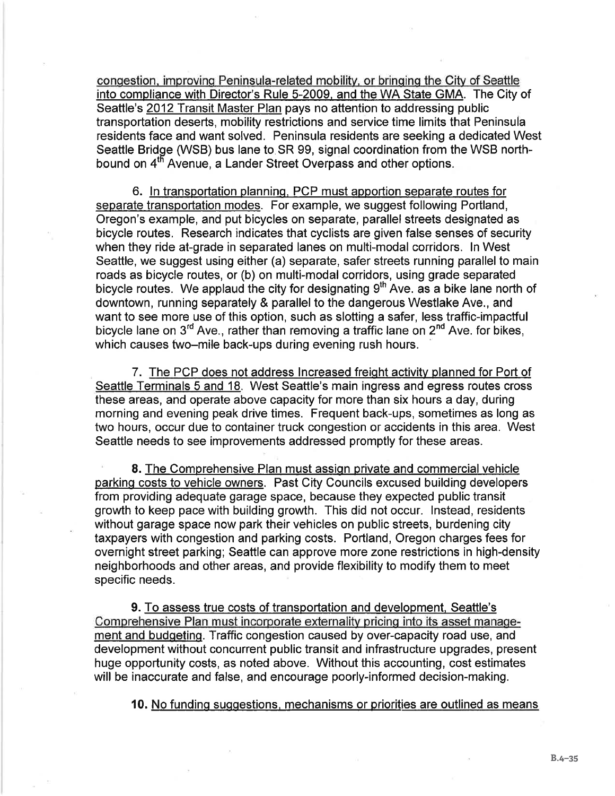congestion, improving Peninsula-related mobility, or bringing the City of Seattle into compliance with Director's Rule 5-2009, and the WA State GMA. The City of Seattle's 2012 Transit Master Plan pays no attention to addressing public transportation deserts, mobility restrictions and service time limits that Peninsula residents face and want solved. Peninsula residents are seeking a dedicated West Seattle Bridge (WSB) bus lane to SR 99, signal coordination from the WSB northbound on 4<sup>th</sup> Avenue, a Lander Street Overpass and other options.

6. In transportation planning, PCP must apportion separate routes for separate transportation modes. For example, we suggest following Portland, Oregon's example, and put bicycles on separate, parallel streets designated as bicycle routes. Research indicates that cyclists are given false senses of security when they ride at-grade in separated lanes on multi-modal corridors. In West Seattle, we suggest using either (a) separate, safer streets running parallel to main roads as bicycle routes, or (b) on multi-modal corridors, using grade separated bicycle routes. We applaud the city for designating  $9<sup>th</sup>$  Ave. as a bike lane north of downtown, running separately & parallel to the dangerous Westlake Ave., and want to see more use of this option, such as slotting a safer, less traffic-impactful bicycle lane on 3<sup>rd</sup> Ave., rather than removing a traffic lane on 2<sup>nd</sup> Ave. for bikes, which causes two-mile back-ups during evening rush hours.

7. The PCP does not address Increased freight activity planned for Port of Seattle Terminals 5 and 18. West Seattle's main ingress and egress routes cross these areas, and operate above capacity for more than six hours a day, during morning and evening peak drive times. Frequent back-ups, sometimes as long as two hours, occur due to container truck congestion or accidents in this area. West Seattle needs to see improvements addressed promptly for these areas.

8. The Comprehensive Plan must assign private and commercial vehicle parking costs to vehicle owners. Past City Councils excused building developers from providing adequate garage space, because they expected public transit growth to keep pace with building growth. This did not occur. Instead, residents without garage space now park their vehicles on public streets, burdening city taxpayers with congestion and parking costs. Portland, Oregon charges fees for overnight street parking; Seattle can approve more zone restrictions in high-density neighborhoods and other areas, and provide flexibility to modify them to meet specific needs.

**9.** To assess true costs of transportation and development, Seattle's Comprehensive Plan must incorporate externality pricing into its asset management and budgeting. Traffic congestion caused by over-capacity road use, and development without concurrent public transit and infrastructure upgrades, present huge opportunity costs, as noted above. Without this accounting, cost estimates will be inaccurate and false, and encourage poorly-informed decision-making.

10. No funding suggestions, mechanisms or priorities are outlined as means